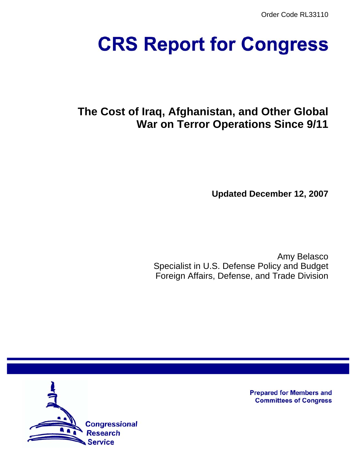Order Code RL33110

# **CRS Report for Congress**

# **The Cost of Iraq, Afghanistan, and Other Global War on Terror Operations Since 9/11**

**Updated December 12, 2007**

Amy Belasco Specialist in U.S. Defense Policy and Budget Foreign Affairs, Defense, and Trade Division



**Prepared for Members and Committees of Congress**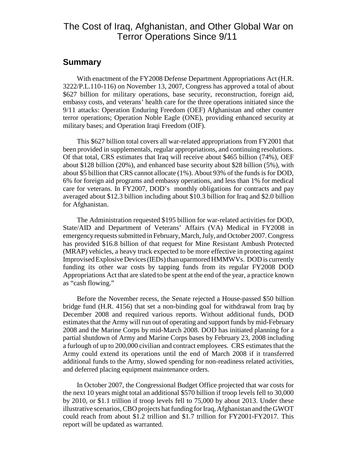# The Cost of Iraq, Afghanistan, and Other Global War on Terror Operations Since 9/11

### **Summary**

With enactment of the FY2008 Defense Department Appropriations Act (H.R. 3222/P.L.110-116) on November 13, 2007, Congress has approved a total of about \$627 billion for military operations, base security, reconstruction, foreign aid, embassy costs, and veterans' health care for the three operations initiated since the 9/11 attacks: Operation Enduring Freedom (OEF) Afghanistan and other counter terror operations; Operation Noble Eagle (ONE), providing enhanced security at military bases; and Operation Iraqi Freedom (OIF).

This \$627 billion total covers all war-related appropriations from FY2001 that been provided in supplementals, regular appropriations, and continuing resolutions. Of that total, CRS estimates that Iraq will receive about \$465 billion (74%), OEF about \$128 billion (20%), and enhanced base security about \$28 billion (5%), with about \$5 billion that CRS cannot allocate (1%). About 93% of the funds is for DOD, 6% for foreign aid programs and embassy operations, and less than 1% for medical care for veterans. In FY2007, DOD's monthly obligations for contracts and pay averaged about \$12.3 billion including about \$10.3 billion for Iraq and \$2.0 billion for Afghanistan.

The Administration requested \$195 billion for war-related activities for DOD, State/AID and Department of Veterans' Affairs (VA) Medical in FY2008 in emergency requests submitted in February, March, July, and October 2007. Congress has provided \$16.8 billion of that request for Mine Resistant Ambush Protected (MRAP) vehicles, a heavy truck expected to be more effective in protecting against Improvised Explosive Devices (IEDs) than uparmored HMMWVs. DOD is currently funding its other war costs by tapping funds from its regular FY2008 DOD Appropriations Act that are slated to be spent at the end of the year, a practice known as "cash flowing."

Before the November recess, the Senate rejected a House-passed \$50 billion bridge fund (H.R. 4156) that set a non-binding goal for withdrawal from Iraq by December 2008 and required various reports. Without additional funds, DOD estimates that the Army will run out of operating and support funds by mid-February 2008 and the Marine Corps by mid-March 2008. DOD has initiated planning for a partial shutdown of Army and Marine Corps bases by February 23, 2008 including a furlough of up to 200,000 civilian and contract employees. CRS estimates that the Army could extend its operations until the end of March 2008 if it transferred additional funds to the Army, slowed spending for non-readiness related activities, and deferred placing equipment maintenance orders.

In October 2007, the Congressional Budget Office projected that war costs for the next 10 years might total an additional \$570 billion if troop levels fell to 30,000 by 2010, or \$1.1 trillion if troop levels fell to 75,000 by about 2013. Under these illustrative scenarios, CBO projects hat funding for Iraq, Afghanistan and the GWOT could reach from about \$1.2 trillion and \$1.7 trillion for FY2001-FY2017. This report will be updated as warranted.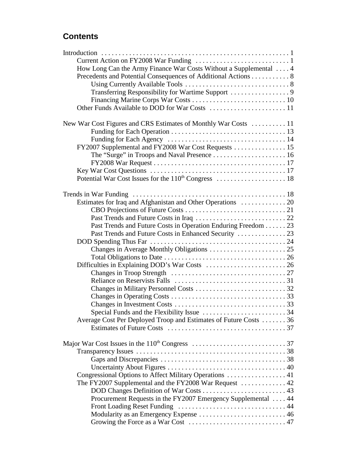# **Contents**

| How Long Can the Army Finance War Costs Without a Supplemental  4            |  |
|------------------------------------------------------------------------------|--|
| Precedents and Potential Consequences of Additional Actions 8                |  |
|                                                                              |  |
|                                                                              |  |
|                                                                              |  |
|                                                                              |  |
|                                                                              |  |
|                                                                              |  |
| New War Cost Figures and CRS Estimates of Monthly War Costs  11              |  |
|                                                                              |  |
|                                                                              |  |
| FY2007 Supplemental and FY2008 War Cost Requests  15                         |  |
|                                                                              |  |
|                                                                              |  |
|                                                                              |  |
|                                                                              |  |
|                                                                              |  |
|                                                                              |  |
|                                                                              |  |
|                                                                              |  |
|                                                                              |  |
| Past Trends and Future Costs in Operation Enduring Freedom 23                |  |
|                                                                              |  |
|                                                                              |  |
|                                                                              |  |
|                                                                              |  |
|                                                                              |  |
|                                                                              |  |
|                                                                              |  |
|                                                                              |  |
|                                                                              |  |
|                                                                              |  |
|                                                                              |  |
|                                                                              |  |
| Average Cost Per Deployed Troop and Estimates of Future Costs 36             |  |
|                                                                              |  |
|                                                                              |  |
|                                                                              |  |
|                                                                              |  |
|                                                                              |  |
|                                                                              |  |
| Congressional Options to Affect Military Operations  41                      |  |
| The FY2007 Supplemental and the FY2008 War Request $\dots\dots\dots\dots$ 42 |  |
| DOD Changes Definition of War Costs  43                                      |  |
| Procurement Requests in the FY2007 Emergency Supplemental  44                |  |
|                                                                              |  |
| Modularity as an Emergency Expense  46                                       |  |
|                                                                              |  |
|                                                                              |  |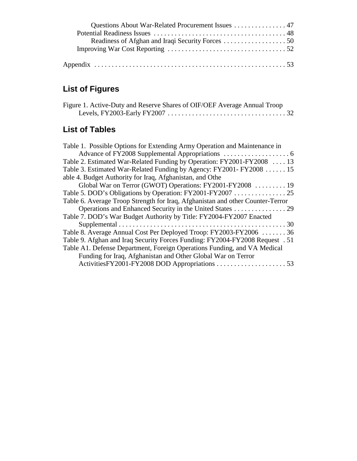| Questions About War-Related Procurement Issues 47 |  |
|---------------------------------------------------|--|
|                                                   |  |
|                                                   |  |
|                                                   |  |
|                                                   |  |
|                                                   |  |

# **List of Figures**

| Figure 1. Active-Duty and Reserve Shares of OIF/OEF Average Annual Troop |  |
|--------------------------------------------------------------------------|--|
|                                                                          |  |

# **List of Tables**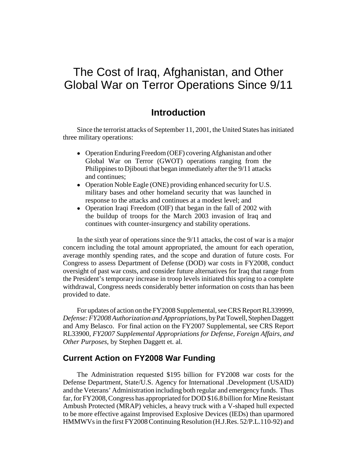# The Cost of Iraq, Afghanistan, and Other Global War on Terror Operations Since 9/11

# **Introduction**

Since the terrorist attacks of September 11, 2001, the United States has initiated three military operations:

- Operation Enduring Freedom (OEF) covering Afghanistan and other Global War on Terror (GWOT) operations ranging from the Philippines to Djibouti that began immediately after the 9/11 attacks and continues;
- Operation Noble Eagle (ONE) providing enhanced security for U.S. military bases and other homeland security that was launched in response to the attacks and continues at a modest level; and
- Operation Iraqi Freedom (OIF) that began in the fall of 2002 with the buildup of troops for the March 2003 invasion of Iraq and continues with counter-insurgency and stability operations.

In the sixth year of operations since the 9/11 attacks, the cost of war is a major concern including the total amount appropriated, the amount for each operation, average monthly spending rates, and the scope and duration of future costs. For Congress to assess Department of Defense (DOD) war costs in FY2008, conduct oversight of past war costs, and consider future alternatives for Iraq that range from the President's temporary increase in troop levels initiated this spring to a complete withdrawal, Congress needs considerably better information on costs than has been provided to date.

For updates of action on the FY2008 Supplemental, see CRS Report RL339999, *Defense: FY2008 Authorization and Appropriations,* by Pat Towell, Stephen Daggett and Amy Belasco. For final action on the FY2007 Supplemental, see CRS Report RL33900, *FY2007 Supplemental Appropriations for Defense, Foreign Affairs, and Other Purposes*, by Stephen Daggett et. al.

# **Current Action on FY2008 War Funding**

The Administration requested \$195 billion for FY2008 war costs for the Defense Department, State/U.S. Agency for International .Development (USAID) and the Veterans' Administration including both regular and emergency funds. Thus far, for FY2008, Congress has appropriated for DOD \$16.8 billion for Mine Resistant Ambush Protected (MRAP) vehicles, a heavy truck with a V-shaped hull expected to be more effective against Improvised Explosive Devices (IEDs) than uparmored HMMWVs in the first FY2008 Continuing Resolution (H.J.Res. 52/P.L.110-92) and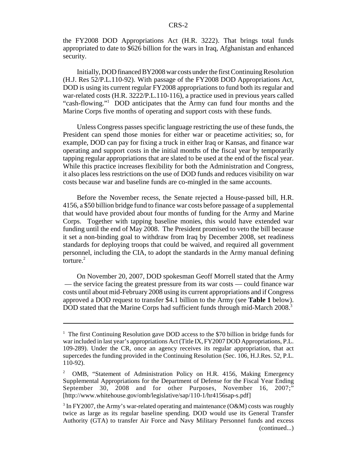the FY2008 DOD Appropriations Act (H.R. 3222). That brings total funds appropriated to date to \$626 billion for the wars in Iraq, Afghanistan and enhanced security.

Initially, DOD financed BY2008 war costs under the first Continuing Resolution (H.J. Res 52/P.L.110-92). With passage of the FY2008 DOD Appropriations Act, DOD is using its current regular FY2008 appropriations to fund both its regular and war-related costs (H.R. 3222/P.L.110-116), a practice used in previous years called "cash-flowing."<sup>1</sup> DOD anticipates that the Army can fund four months and the Marine Corps five months of operating and support costs with these funds.

Unless Congress passes specific language restricting the use of these funds, the President can spend those monies for either war or peacetime activities; so, for example, DOD can pay for fixing a truck in either Iraq or Kansas, and finance war operating and support costs in the initial months of the fiscal year by temporarily tapping regular appropriations that are slated to be used at the end of the fiscal year. While this practice increases flexibility for both the Administration and Congress, it also places less restrictions on the use of DOD funds and reduces visibility on war costs because war and baseline funds are co-mingled in the same accounts.

Before the November recess, the Senate rejected a House-passed bill, H.R. 4156, a \$50 billion bridge fund to finance war costs before passage of a supplemental that would have provided about four months of funding for the Army and Marine Corps. Together with tapping baseline monies, this would have extended war funding until the end of May 2008. The President promised to veto the bill because it set a non-binding goal to withdraw from Iraq by December 2008, set readiness standards for deploying troops that could be waived, and required all government personnel, including the CIA, to adopt the standards in the Army manual defining torture. $2$ 

On November 20, 2007, DOD spokesman Geoff Morrell stated that the Army — the service facing the greatest pressure from its war costs — could finance war costs until about mid-February 2008 using its current appropriations and if Congress approved a DOD request to transfer \$4.1 billion to the Army (see **Table 1** below). DOD stated that the Marine Corps had sufficient funds through mid-March 2008.<sup>3</sup>

<sup>&</sup>lt;sup>1</sup> The first Continuing Resolution gave DOD access to the \$70 billion in bridge funds for war included in last year's appropriations Act (Title IX, FY2007 DOD Appropriations, P.L. 109-289). Under the CR, once an agency receives its regular appropriation, that act supercedes the funding provided in the Continuing Resolution (Sec. 106, H.J.Res. 52, P.L. 110-92).

<sup>2</sup> OMB, "Statement of Administration Policy on H.R. 4156, Making Emergency Supplemental Appropriations for the Department of Defense for the Fiscal Year Ending September 30, 2008 and for other Purposes, November 16, 2007;" [http://www.whitehouse.gov/omb/legislative/sap/110-1/hr4156sap-s.pdf]

<sup>&</sup>lt;sup>3</sup> In FY2007, the Army's war-related operating and maintenance (O&M) costs was roughly twice as large as its regular baseline spending. DOD would use its General Transfer Authority (GTA) to transfer Air Force and Navy Military Personnel funds and excess (continued...)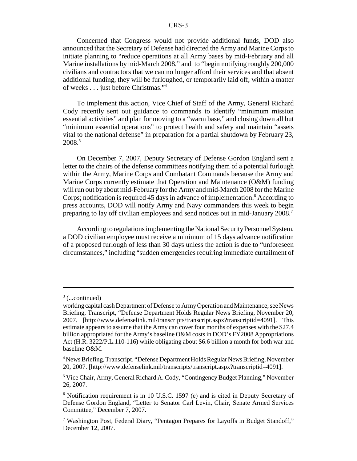Concerned that Congress would not provide additional funds, DOD also announced that the Secretary of Defense had directed the Army and Marine Corps to initiate planning to "reduce operations at all Army bases by mid-February and all Marine installations by mid-March 2008," and to "begin notifying roughly 200,000 civilians and contractors that we can no longer afford their services and that absent additional funding, they will be furloughed, or temporarily laid off, within a matter of weeks . . . just before Christmas."4

To implement this action, Vice Chief of Staff of the Army, General Richard Cody recently sent out guidance to commands to identify "minimum mission essential activities" and plan for moving to a "warm base," and closing down all but "minimum essential operations" to protect health and safety and maintain "assets vital to the national defense" in preparation for a partial shutdown by February 23, 2008.5

On December 7, 2007, Deputy Secretary of Defense Gordon England sent a letter to the chairs of the defense committees notifying them of a potential furlough within the Army, Marine Corps and Combatant Commands because the Army and Marine Corps currently estimate that Operation and Maintenance (O&M) funding will run out by about mid-February for the Army and mid-March 2008 for the Marine Corps; notification is required 45 days in advance of implementation.<sup>6</sup> According to press accounts, DOD will notify Army and Navy commanders this week to begin preparing to lay off civilian employees and send notices out in mid-January 2008.7

According to regulations implementing the National Security Personnel System, a DOD civilian employee must receive a minimum of 15 days advance notification of a proposed furlough of less than 30 days unless the action is due to "unforeseen circumstances," including "sudden emergencies requiring immediate curtailment of

 $3$  (...continued)

working capital cash Department of Defense to Army Operation and Maintenance; see News Briefing, Transcript, "Defense Department Holds Regular News Briefing, November 20, 2007. [http://www.defenselink.mil/transcripts/transcript.aspx?transcriptid=4091]. This estimate appears to assume that the Army can cover four months of expenses with the \$27.4 billion appropriated for the Army's baseline O&M costs in DOD's FY2008 Appropriations Act (H.R. 3222/P.L.110-116) while obligating about \$6.6 billion a month for both war and baseline O&M.

<sup>&</sup>lt;sup>4</sup> News Briefing, Transcript, "Defense Department Holds Regular News Briefing, November 20, 2007. [http://www.defenselink.mil/transcripts/transcript.aspx?transcriptid=4091].

<sup>&</sup>lt;sup>5</sup> Vice Chair, Army, General Richard A. Cody, "Contingency Budget Planning," November 26, 2007.

<sup>&</sup>lt;sup>6</sup> Notification requirement is in 10 U.S.C. 1597 (e) and is cited in Deputy Secretary of Defense Gordon England, "Letter to Senator Carl Levin, Chair, Senate Armed Services Committee," December 7, 2007.

<sup>&</sup>lt;sup>7</sup> Washington Post, Federal Diary, "Pentagon Prepares for Layoffs in Budget Standoff," December 12, 2007.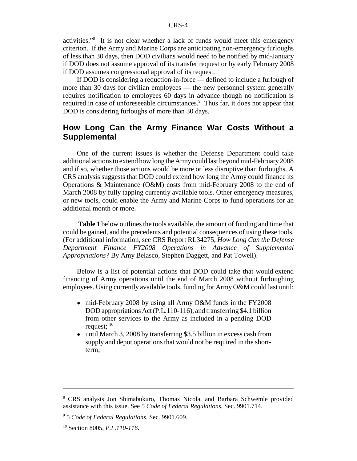activities."8 It is not clear whether a lack of funds would meet this emergency criterion. If the Army and Marine Corps are anticipating non-emergency furloughs of less than 30 days, then DOD civilians would need to be notified by mid-January if DOD does not assume approval of its transfer request or by early February 2008 if DOD assumes congressional approval of its request.

If DOD is considering a reduction-in-force — defined to include a furlough of more than 30 days for civilian employees — the new personnel system generally requires notification to employees 60 days in advance though no notification is required in case of unforeseeable circumstances.<sup>9</sup> Thus far, it does not appear that DOD is considering furloughs of more than 30 days.

# **How Long Can the Army Finance War Costs Without a Supplemental**

One of the current issues is whether the Defense Department could take additional actions to extend how long the Army could last beyond mid-February 2008 and if so, whether those actions would be more or less disruptive than furloughs. A CRS analysis suggests that DOD could extend how long the Army could finance its Operations & Maintenance (O&M) costs from mid-February 2008 to the end of March 2008 by fully tapping currently available tools. Other emergency measures, or new tools, could enable the Army and Marine Corps to fund operations for an additional month or more.

**Table 1** below outlines the tools available, the amount of funding and time that could be gained, and the precedents and potential consequences of using these tools. (For additional information, see CRS Report RL34275, *How Long Can the Defense Department Finance FY2008 Operations in Advance of Supplemental Appropriations?* By Amy Belasco, Stephen Daggett, and Pat Towell).

 Below is a list of potential actions that DOD could take that would extend financing of Army operations until the end of March 2008 without furloughing employees. Using currently available tools, funding for Army O&M could last until:

- mid-February 2008 by using all Army O&M funds in the FY2008 DOD appropriations Act (P.L.110-116), and transferring \$4.1 billion from other services to the Army as included in a pending DOD request; 10
- until March 3, 2008 by transferring \$3.5 billion in excess cash from supply and depot operations that would not be required in the shortterm;

<sup>&</sup>lt;sup>8</sup> CRS analysts Jon Shimabukuro, Thomas Nicola, and Barbara Schwemle provided assistance with this issue. See 5 *Code of Federal Regulations,* Sec. 9901.714.

<sup>9</sup> 5 *Code of Federal Regulations*, Sec. 9901.609.

<sup>10</sup> Section 8005, *P.L.110-116*.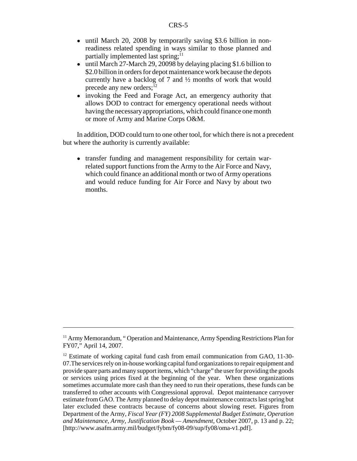- until March 20, 2008 by temporarily saving \$3.6 billion in nonreadiness related spending in ways similar to those planned and partially implemented last spring; $<sup>11</sup>$ </sup>
- until March 27-March 29, 20098 by delaying placing \$1.6 billion to \$2.0 billion in orders for depot maintenance work because the depots currently have a backlog of 7 and ½ months of work that would precede any new orders; $12$
- invoking the Feed and Forage Act, an emergency authority that allows DOD to contract for emergency operational needs without having the necessary appropriations, which could finance one month or more of Army and Marine Corps O&M.

In addition, DOD could turn to one other tool, for which there is not a precedent but where the authority is currently available:

• transfer funding and management responsibility for certain warrelated support functions from the Army to the Air Force and Navy, which could finance an additional month or two of Army operations and would reduce funding for Air Force and Navy by about two months.

<sup>&</sup>lt;sup>11</sup> Army Memorandum, "Operation and Maintenance, Army Spending Restrictions Plan for FY07," April 14, 2007.

 $12$  Estimate of working capital fund cash from email communication from GAO, 11-30-07.The services rely on in-house working capital fund organizations to repair equipment and provide spare parts and many support items, which "charge" the user for providing the goods or services using prices fixed at the beginning of the year. When these organizations sometimes accumulate more cash than they need to run their operations, these funds can be transferred to other accounts with Congressional approval. Depot maintenance carryover estimate from GAO. The Army planned to delay depot maintenance contracts last spring but later excluded these contracts because of concerns about slowing reset. Figures from Department of the Army, *Fiscal Year (FY) 2008 Supplemental Budget Estimate, Operation and Maintenance, Army, Justification Book — Amendment*, October 2007, p. 13 and p. 22; [http://www.asafm.army.mil/budget/fybm/fy08-09/sup/fy08/oma-v1.pdf].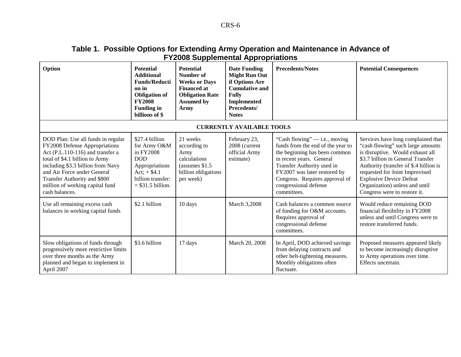# **Table 1. Possible Options for Extending Army Operation and Maintenance in Advance of FY2008 Supplemental Appropriations**

| Option                                                                                                                                                                                                                                                                                             | <b>Potential</b><br><b>Additional</b><br><b>Funds/Reducti</b><br>on in<br><b>Obligation of</b><br><b>FY2008</b><br><b>Funding in</b><br>billions of \$ | <b>Potential</b><br>Number of<br><b>Weeks or Days</b><br><b>Financed at</b><br><b>Obligation Rate</b><br><b>Assumed by</b><br><b>Army</b> | <b>Date Funding</b><br><b>Might Run Out</b><br>if Options Are<br><b>Cumulative and</b><br><b>Fully</b><br><b>Implemented</b><br>Precedents/<br><b>Notes</b> | <b>Precedents/Notes</b>                                                                                                                                                                                                                                                   | <b>Potential Consequences</b>                                                                                                                                                                                                                                                                                                    |
|----------------------------------------------------------------------------------------------------------------------------------------------------------------------------------------------------------------------------------------------------------------------------------------------------|--------------------------------------------------------------------------------------------------------------------------------------------------------|-------------------------------------------------------------------------------------------------------------------------------------------|-------------------------------------------------------------------------------------------------------------------------------------------------------------|---------------------------------------------------------------------------------------------------------------------------------------------------------------------------------------------------------------------------------------------------------------------------|----------------------------------------------------------------------------------------------------------------------------------------------------------------------------------------------------------------------------------------------------------------------------------------------------------------------------------|
|                                                                                                                                                                                                                                                                                                    |                                                                                                                                                        |                                                                                                                                           | <b>CURRENTLY AVAILABLE TOOLS</b>                                                                                                                            |                                                                                                                                                                                                                                                                           |                                                                                                                                                                                                                                                                                                                                  |
| DOD Plan: Use all funds in regular<br>FY2008 Defense Appropriations<br>Act (P.L.110-116) and transfer a<br>total of \$4.1 billion to Army<br>including \$3.3 billion from Navy<br>and Air Force under General<br>Transfer Authority and \$800<br>million of working capital fund<br>cash balances. | \$27.4 billion<br>for Army O&M<br>in FY2008<br><b>DOD</b><br>Appropriations<br>Act; $+ $4.1$<br>billion transfer:<br>$=$ \$31.5 billion.               | 21 weeks<br>according to<br>Army<br>calculations<br>(assumes \$1.5)<br>billion obligations<br>per week)                                   | February 23,<br>2008 (current<br>official Army<br>estimate)                                                                                                 | "Cash flowing" $-$ i.e., moving<br>funds from the end of the year to<br>the beginning has been common<br>in recent years. General<br>Transfer Authority used in<br>FY2007 was later restored by<br>Congress. Requires approval of<br>congressional defense<br>committees. | Services have long complained that<br>"cash flowing" such large amounts<br>is disruptive. Would exhaust all<br>\$3.7 billion in General Transfer<br>Authority (transfer of \$.4 billion is<br>requested for Joint Improvised<br><b>Explosive Device Defeat</b><br>Organization) unless and until<br>Congress were to restore it. |
| Use all remaining excess cash<br>balances in working capital funds                                                                                                                                                                                                                                 | \$2.1 billion                                                                                                                                          | 10 days                                                                                                                                   | March 3,2008                                                                                                                                                | Cash balances a common source<br>of funding for O&M accounts.<br>Requires approval of<br>congressional defense<br>committees.                                                                                                                                             | Would reduce remaining DOD<br>financial flexibility in FY2008<br>unless and until Congress were to<br>restore transferred funds.                                                                                                                                                                                                 |
| Slow obligations of funds through<br>progressively more restrictive limits<br>over three months as the Army<br>planned and began to implement in<br>April 2007                                                                                                                                     | \$3.6 billion                                                                                                                                          | 17 days                                                                                                                                   | March 20, 2008                                                                                                                                              | In April, DOD achieved savings<br>from delaying contracts and<br>other belt-tightening measures.<br>Monthly obligations often<br>fluctuate.                                                                                                                               | Proposed measures appeared likely<br>to become increasingly disruptive<br>to Army operations over time.<br>Effects uncertain.                                                                                                                                                                                                    |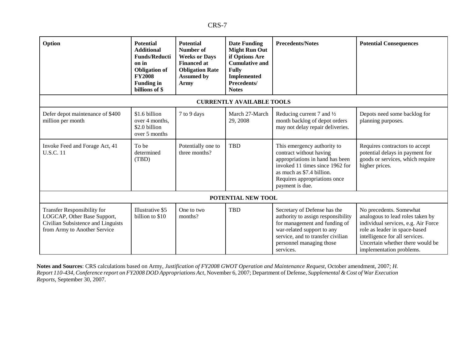| Option                                                                                                                           | <b>Potential</b><br><b>Additional</b><br><b>Funds/Reducti</b><br>on in<br><b>Obligation</b> of<br><b>FY2008</b><br><b>Funding in</b><br>billions of \$ | <b>Potential</b><br>Number of<br><b>Weeks or Days</b><br><b>Financed at</b><br><b>Obligation Rate</b><br><b>Assumed by</b><br>Army | <b>Date Funding</b><br><b>Might Run Out</b><br>if Options Are<br><b>Cumulative and</b><br><b>Fully</b><br><b>Implemented</b><br>Precedents/<br><b>Notes</b> | <b>Precedents/Notes</b>                                                                                                                                                                                         | <b>Potential Consequences</b>                                                                                                                                                                                                         |
|----------------------------------------------------------------------------------------------------------------------------------|--------------------------------------------------------------------------------------------------------------------------------------------------------|------------------------------------------------------------------------------------------------------------------------------------|-------------------------------------------------------------------------------------------------------------------------------------------------------------|-----------------------------------------------------------------------------------------------------------------------------------------------------------------------------------------------------------------|---------------------------------------------------------------------------------------------------------------------------------------------------------------------------------------------------------------------------------------|
|                                                                                                                                  |                                                                                                                                                        |                                                                                                                                    | <b>CURRENTLY AVAILABLE TOOLS</b>                                                                                                                            |                                                                                                                                                                                                                 |                                                                                                                                                                                                                                       |
| Defer depot maintenance of \$400<br>million per month                                                                            | \$1.6 billion<br>over 4 months.<br>\$2.0 billion<br>over 5 months                                                                                      | 7 to 9 days                                                                                                                        | March 27-March<br>29, 2008                                                                                                                                  | Reducing current 7 and $\frac{1}{2}$<br>month backlog of depot orders<br>may not delay repair deliveries.                                                                                                       | Depots need some backlog for<br>planning purposes.                                                                                                                                                                                    |
| Invoke Feed and Forage Act, 41<br><b>U.S.C. 11</b>                                                                               | To be<br>determined<br>(TBD)                                                                                                                           | Potentially one to<br>three months?                                                                                                | <b>TBD</b>                                                                                                                                                  | This emergency authority to<br>contract without having<br>appropriations in hand has been<br>invoked 11 times since 1962 for<br>as much as \$7.4 billion.<br>Requires appropriations once<br>payment is due.    | Requires contractors to accept<br>potential delays in payment for<br>goods or services, which require<br>higher prices.                                                                                                               |
|                                                                                                                                  |                                                                                                                                                        |                                                                                                                                    | POTENTIAL NEW TOOL                                                                                                                                          |                                                                                                                                                                                                                 |                                                                                                                                                                                                                                       |
| Transfer Responsibility for<br>LOGCAP, Other Base Support,<br>Civilian Subsistence and Linguists<br>from Army to Another Service | Illustrative \$5<br>billion to \$10                                                                                                                    | One to two<br>months?                                                                                                              | <b>TBD</b>                                                                                                                                                  | Secretary of Defense has the<br>authority to assign responsibility<br>for management and funding of<br>war-related support to any<br>service, and to transfer civilian<br>personnel managing those<br>services. | No precedents. Somewhat<br>analogous to lead roles taken by<br>individual services, e.g. Air Force<br>role as leader in space-based<br>intelligence for all services.<br>Uncertain whether there would be<br>implementation problems. |

**Notes and Sources**: CRS calculations based on Army, *Justification of FY2008 GWOT Operation and Maintenance Request,* October amendment, 2007; *H. Report 110-434, Conference report on FY2008 DOD Appropriations Act,* November 6, 2007; Department of Defense, *Supplemental & Cost of War Execution Reports*, September 30, 2007.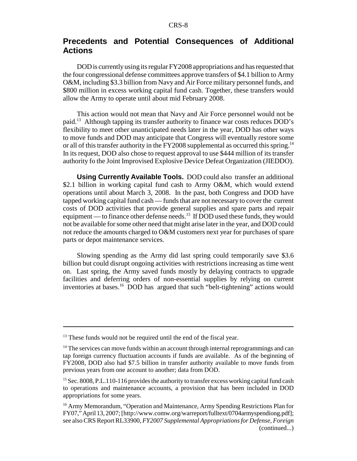# **Precedents and Potential Consequences of Additional Actions**

DOD is currently using its regular FY2008 appropriations and has requested that the four congressional defense committees approve transfers of \$4.1 billion to Army O&M, including \$3.3 billion from Navy and Air Force military personnel funds, and \$800 million in excess working capital fund cash. Together, these transfers would allow the Army to operate until about mid February 2008.

This action would not mean that Navy and Air Force personnel would not be paid.13 Although tapping its transfer authority to finance war costs reduces DOD's flexibility to meet other unanticipated needs later in the year, DOD has other ways to move funds and DOD may anticipate that Congress will eventually restore some or all of this transfer authority in the FY2008 supplemental as occurred this spring.<sup>14</sup> In its request, DOD also chose to request approval to use \$444 million of its transfer authority fo the Joint Improvised Explosive Device Defeat Organization (JIEDDO).

**Using Currently Available Tools.** DOD could also transfer an additional \$2.1 billion in working capital fund cash to Army O&M, which would extend operations until about March 3, 2008. In the past, both Congress and DOD have tapped working capital fund cash — funds that are not necessary to cover the current costs of DOD activities that provide general supplies and spare parts and repair equipment — to finance other defense needs.<sup>15</sup> If DOD used these funds, they would not be available for some other need that might arise later in the year, and DOD could not reduce the amounts charged to O&M customers next year for purchases of spare parts or depot maintenance services.

Slowing spending as the Army did last spring could temporarily save \$3.6 billion but could disrupt ongoing activities with restrictions increasing as time went on. Last spring, the Army saved funds mostly by delaying contracts to upgrade facilities and deferring orders of non-essential supplies by relying on current inventories at bases.<sup>16</sup> DOD has argued that such "belt-tightening" actions would

 $13$  These funds would not be required until the end of the fiscal year.

 $14$  The services can move funds within an account through internal reprogrammings and can tap foreign currency fluctuation accounts if funds are available. As of the beginning of FY2008, DOD also had \$7.5 billion in transfer authority available to move funds from previous years from one account to another; data from DOD.

<sup>&</sup>lt;sup>15</sup> Sec. 8008, P.L.110-116 provides the authority to transfer excess working capital fund cash to operations and maintenance accounts, a provision that has been included in DOD appropriations for some years.

<sup>&</sup>lt;sup>16</sup> Army Memorandum, "Operation and Maintenance, Army Spending Restrictions Plan for FY07," April 13, 2007; [http://www.comw.org/warreport/fulltext/0704armyspendiong.pdf]; see also CRS Report RL33900, *FY2007 Supplemental Appropriations for Defense, Foreign* (continued...)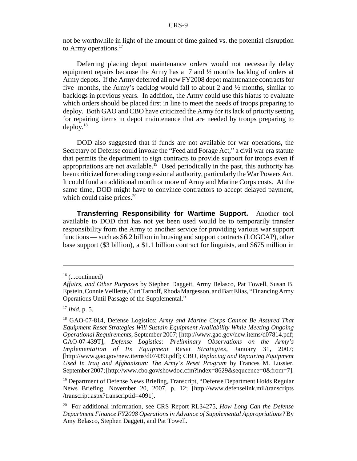not be worthwhile in light of the amount of time gained vs. the potential disruption to Army operations.<sup>17</sup>

Deferring placing depot maintenance orders would not necessarily delay equipment repairs because the Army has a  $\overline{7}$  and  $\overline{2}$  months backlog of orders at Army depots. If the Army deferred all new FY2008 depot maintenance contracts for five months, the Army's backlog would fall to about 2 and ½ months, similar to backlogs in previous years. In addition, the Army could use this hiatus to evaluate which orders should be placed first in line to meet the needs of troops preparing to deploy. Both GAO and CBO have criticized the Army for its lack of priority setting for repairing items in depot maintenance that are needed by troops preparing to deploy. $18$ 

DOD also suggested that if funds are not available for war operations, the Secretary of Defense could invoke the "Feed and Forage Act," a civil war era statute that permits the department to sign contracts to provide support for troops even if appropriations are not available.<sup>19</sup> Used periodically in the past, this authority has been criticized for eroding congressional authority, particularly the War Powers Act. It could fund an additional month or more of Army and Marine Corps costs. At the same time, DOD might have to convince contractors to accept delayed payment, which could raise prices. $20$ 

**Transferring Responsibility for Wartime Support.** Another tool available to DOD that has not yet been used would be to temporarily transfer responsibility from the Army to another service for providing various war support functions — such as \$6.2 billion in housing and support contracts (LOGCAP), other base support (\$3 billion), a \$1.1 billion contract for linguists, and \$675 million in

 $16$  (...continued)

*Affairs, and Other Purposes* by Stephen Daggett, Army Belasco, Pat Towell, Susan B. Epstein, Connie Veillette, Curt Tarnoff, Rhoda Margesson, and Bart Elias, "Financing Army Operations Until Passage of the Supplemental."

<sup>17</sup> *Ibid*, p. 5.

<sup>18</sup> GAO-07-814, Defense Logistics: *Army and Marine Corps Cannot Be Assured That Equipment Reset Strategies Will Sustain Equipment Availability While Meeting Ongoing Operational Requirements*, September 2007; [http://www.gao.gov/new.items/d07814.pdf; GAO-07-439T], *Defense Logistics: Preliminary Observations on the Army's Implementation of Its Equipment Reset Strategies*, January 31, 2007; [http://www.gao.gov/new.items/d07439t.pdf]; CBO, *Replacing and Repairing Equipment Used In Iraq and Afghanistan: The Army's Reset Program* by Frances M. Lussier, September 2007; [http://www.cbo.gov/showdoc.cfm?index=8629&sequcence=0&from=7].

<sup>&</sup>lt;sup>19</sup> Department of Defense News Briefing, Transcript, "Defense Department Holds Regular News Briefing, November 20, 2007, p. 12; [http://www.defenselink.mil/transcripts /transcript.aspx?transcriptid=4091].

<sup>20</sup> For additional information, see CRS Report RL34275, *How Long Can the Defense Department Finance FY2008 Operations in Advance of Supplemental Appropriations?* By Amy Belasco, Stephen Daggett, and Pat Towell.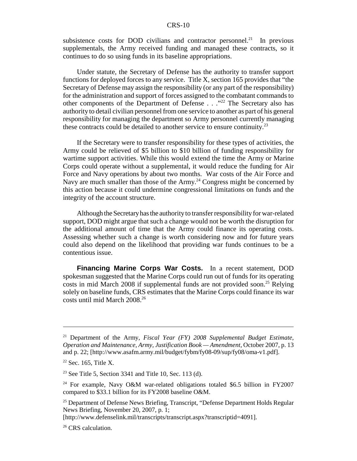subsistence costs for DOD civilians and contractor personnel.<sup>21</sup> In previous supplementals, the Army received funding and managed these contracts, so it continues to do so using funds in its baseline appropriations.

Under statute, the Secretary of Defense has the authority to transfer support functions for deployed forces to any service. Title X, section 165 provides that "the Secretary of Defense may assign the responsibility (or any part of the responsibility) for the administration and support of forces assigned to the combatant commands to other components of the Department of Defense  $\ldots$ ."<sup>22</sup> The Secretary also has authority to detail civilian personnel from one service to another as part of his general responsibility for managing the department so Army personnel currently managing these contracts could be detailed to another service to ensure continuity.<sup>23</sup>

If the Secretary were to transfer responsibility for these types of activities, the Army could be relieved of \$5 billion to \$10 billion of funding responsibility for wartime support activities. While this would extend the time the Army or Marine Corps could operate without a supplemental, it would reduce the funding for Air Force and Navy operations by about two months. War costs of the Air Force and Navy are much smaller than those of the Army.<sup>24</sup> Congress might be concerned by this action because it could undermine congressional limitations on funds and the integrity of the account structure.

Although the Secretary has the authority to transfer responsibility for war-related support, DOD might argue that such a change would not be worth the disruption for the additional amount of time that the Army could finance its operating costs. Assessing whether such a change is worth considering now and for future years could also depend on the likelihood that providing war funds continues to be a contentious issue.

**Financing Marine Corps War Costs.** In a recent statement, DOD spokesman suggested that the Marine Corps could run out of funds for its operating costs in mid March 2008 if supplemental funds are not provided soon.<sup>25</sup> Relying solely on baseline funds, CRS estimates that the Marine Corps could finance its war costs until mid March 2008.26

<sup>21</sup> Department of the Army, *Fiscal Year (FY) 2008 Supplemental Budget Estimate, Operation and Maintenance, Army, Justification Book — Amendment*, October 2007, p. 13 and p. 22; [http://www.asafm.army.mil/budget/fybm/fy08-09/sup/fy08/oma-v1.pdf].

 $22$  Sec. 165, Title X.

<sup>&</sup>lt;sup>23</sup> See Title 5, Section 3341 and Title 10, Sec. 113 (d).

<sup>&</sup>lt;sup>24</sup> For example, Navy O&M war-related obligations totaled \$6.5 billion in FY2007 compared to \$33.1 billion for its FY2008 baseline O&M.

<sup>&</sup>lt;sup>25</sup> Department of Defense News Briefing, Transcript, "Defense Department Holds Regular News Briefing, November 20, 2007, p. 1;

<sup>[</sup>http://www.defenselink.mil/transcripts/transcript.aspx?transcriptid=4091].

<sup>&</sup>lt;sup>26</sup> CRS calculation.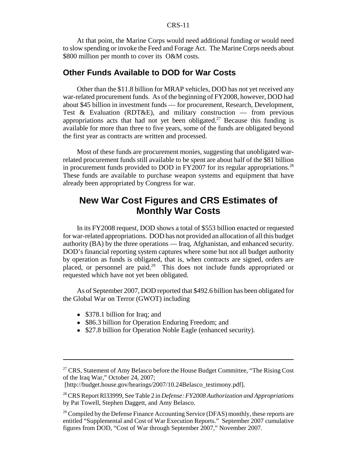At that point, the Marine Corps would need additional funding or would need to slow spending or invoke the Feed and Forage Act. The Marine Corps needs about \$800 million per month to cover its O&M costs.

### **Other Funds Available to DOD for War Costs**

Other than the \$11.8 billion for MRAP vehicles, DOD has not yet received any war-related procurement funds. As of the beginning of FY2008, however, DOD had about \$45 billion in investment funds — for procurement, Research, Development, Test  $\&$  Evaluation (RDT $\&$ E), and military construction — from previous appropriations acts that had not yet been obligated.<sup>27</sup> Because this funding is available for more than three to five years, some of the funds are obligated beyond the first year as contracts are written and processed.

Most of these funds are procurement monies, suggesting that unobligated warrelated procurement funds still available to be spent are about half of the \$81 billion in procurement funds provided to DOD in FY2007 for its regular appropriations.<sup>28</sup> These funds are available to purchase weapon systems and equipment that have already been appropriated by Congress for war.

# **New War Cost Figures and CRS Estimates of Monthly War Costs**

In its FY2008 request, DOD shows a total of \$553 billion enacted or requested for war-related appropriations. DOD has not provided an allocation of all this budget authority (BA) by the three operations — Iraq, Afghanistan, and enhanced security. DOD's financial reporting system captures where some but not all budget authority by operation as funds is obligated, that is, when contracts are signed, orders are placed, or personnel are paid.29 This does not include funds appropriated or requested which have not yet been obligated.

As of September 2007, DOD reported that \$492.6 billion has been obligated for the Global War on Terror (GWOT) including

- \$378.1 billion for Iraq; and
- \$86.3 billion for Operation Enduring Freedom; and
- \$27.8 billion for Operation Noble Eagle (enhanced security).

[http://budget.house.gov/hearings/2007/10.24Belasco\_testimony.pdf].

<sup>&</sup>lt;sup>27</sup> CRS, Statement of Amy Belasco before the House Budget Committee, "The Rising Cost" of the Iraq War," October 24, 2007;

<sup>28</sup> CRS Report Rl33999, See Table 2 in *Defense: FY2008 Authorization and Appropriations* by Pat Towell, Stephen Daggett, and Amy Belasco.

<sup>&</sup>lt;sup>29</sup> Compiled by the Defense Finance Accounting Service (DFAS) monthly, these reports are entitled "Supplemental and Cost of War Execution Reports." September 2007 cumulative figures from DOD, "Cost of War through September 2007," November 2007.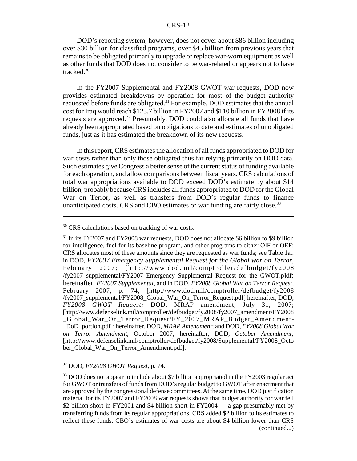DOD's reporting system, however, does not cover about \$86 billion including over \$30 billion for classified programs, over \$45 billion from previous years that remains to be obligated primarily to upgrade or replace war-worn equipment as well as other funds that DOD does not consider to be war-related or appears not to have tracked.30

In the FY2007 Supplemental and FY2008 GWOT war requests, DOD now provides estimated breakdowns by operation for most of the budget authority requested before funds are obligated.31 For example, DOD estimates that the annual cost for Iraq would reach \$123.7 billion in FY2007 and \$110 billion in FY2008 if its requests are approved.32 Presumably, DOD could also allocate all funds that have already been appropriated based on obligations to date and estimates of unobligated funds, just as it has estimated the breakdown of its new requests.

In this report, CRS estimates the allocation of all funds appropriated to DOD for war costs rather than only those obligated thus far relying primarily on DOD data. Such estimates give Congress a better sense of the current status of funding available for each operation, and allow comparisons between fiscal years. CRS calculations of total war appropriations available to DOD exceed DOD's estimate by about \$14 billion, probably because CRS includes all funds appropriated to DOD for the Global War on Terror, as well as transfers from DOD's regular funds to finance unanticipated costs. CRS and CBO estimates or war funding are fairly close.<sup>33</sup>

#### 32 DOD, *FY2008 GWOT Request*, p. 74.

<sup>33</sup> DOD does not appear to include about \$7 billion appropriated in the FY2003 regular act for GWOT or transfers of funds from DOD's regular budget to GWOT after enactment that are approved by the congressional defense committees. At the same time, DOD justification material for its FY2007 and FY2008 war requests shows that budget authority for war fell \$2 billion short in FY2001 and \$4 billion short in FY2004 — a gap presumably met by transferring funds from its regular appropriations. CRS added \$2 billion to its estimates to reflect these funds. CBO's estimates of war costs are about \$4 billion lower than CRS (continued...)

<sup>&</sup>lt;sup>30</sup> CRS calculations based on tracking of war costs.

<sup>&</sup>lt;sup>31</sup> In its FY2007 and FY2008 war requests, DOD does not allocate \$6 billion to \$9 billion for intelligence, fuel for its baseline program, and other programs to either OIF or OEF; CRS allocates most of these amounts since they are requested as war funds; see Table 1a.. in DOD, *FY2007 Emergency Supplemental Request for the Global war on Terror*, February 2007; [http://www.dod.mil/comptroller/defbudget/fy2008 /fy2007\_supplemental/FY2007\_Emergency\_Supplemental\_Request\_for\_the\_GWOT.p]df; hereinafter, *FY2007 Supplemental*, and in DOD, *FY2008 Global War on Terror Request*, February 2007, p. 74; [http://www.dod.mil/comptroller/defbudget/fy2008 /fy2007\_supplemental/FY2008\_Global\_War\_On\_Terror\_Request.pdf] hereinafter, DOD, *FY2008 GWOT Request;* DOD, MRAP amendment, July 31, 2007; [http://www.defenselink.mil/comptroller/defbudget/fy2008/fy2007\_amendment/FY2008 \_Global\_War\_On\_Terror\_Request/FY\_2007\_MRAP\_Budget\_Amendment- \_DoD\_portion.pdf]; hereinafter, DOD, *MRAP Amendment*; and DOD, *FY2008 Global War on Terror Amendment*, October 2007; hereinafter, DOD, *October Amendment;* [http://www.defenselink.mil/comptroller/defbudget/fy2008/Supplemental/FY2008\_Octo ber\_Global\_War\_On\_Terror\_Amendment.pdf].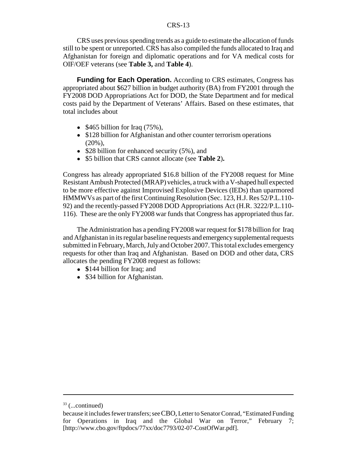CRS uses previous spending trends as a guide to estimate the allocation of funds still to be spent or unreported. CRS has also compiled the funds allocated to Iraq and Afghanistan for foreign and diplomatic operations and for VA medical costs for OIF/OEF veterans (see **Table 3,** and **Table 4**).

**Funding for Each Operation.** According to CRS estimates, Congress has appropriated about \$627 billion in budget authority (BA) from FY2001 through the FY2008 DOD Appropriations Act for DOD, the State Department and for medical costs paid by the Department of Veterans' Affairs. Based on these estimates, that total includes about

- $\bullet$  \$465 billion for Iraq (75%),
- \$128 billion for Afghanistan and other counter terrorism operations  $(20\%)$ ,
- \$28 billion for enhanced security (5%), and
- ! \$5 billion that CRS cannot allocate (see **Table 2**)**.**

Congress has already appropriated \$16.8 billion of the FY2008 request for Mine Resistant Ambush Protected (MRAP) vehicles, a truck with a V-shaped hull expected to be more effective against Improvised Explosive Devices (IEDs) than uparmored HMMWVs as part of the first Continuing Resolution (Sec. 123, H.J. Res 52/P.L.110- 92) and the recently-passed FY2008 DOD Appropriations Act (H.R. 3222/P.L.110- 116). These are the only FY2008 war funds that Congress has appropriated thus far.

The Administration has a pending FY2008 war request for \$178 billion for Iraq and Afghanistan in its regular baseline requests and emergency supplemental requests submitted in February, March, July and October 2007. This total excludes emergency requests for other than Iraq and Afghanistan. Based on DOD and other data, CRS allocates the pending FY2008 request as follows:

- \$144 billion for Iraq; and
- \$34 billion for Afghanistan.

 $33$  (...continued)

because it includes fewer transfers; see CBO, Letter to Senator Conrad, "Estimated Funding for Operations in Iraq and the Global War on Terror," February 7; [http://www.cbo.gov/ftpdocs/77xx/doc7793/02-07-CostOfWar.pdf].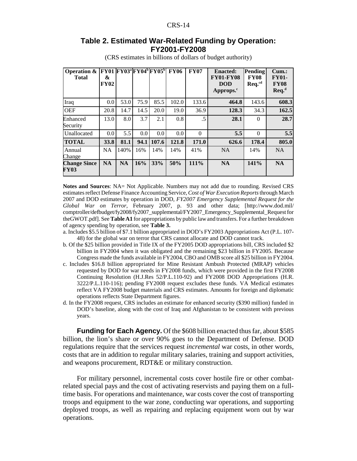#### **Table 2. Estimated War-Related Funding by Operation: FY2001-FY2008**

| <b>Operation &amp;</b><br><b>Total</b> | &<br><b>FY02</b> | FY01 FY03 <sup>a</sup> FY04 <sup>b</sup> FY05 <sup>b</sup> |      |       | <b>FY06</b> | <b>FY07</b> | <b>Enacted:</b><br><b>FY01-FY08</b><br><b>DOD</b><br>Approps. <sup>c</sup> | Pending<br><b>FY08</b><br>$\text{Re}q.^{\text{cd}}$ | Cum.<br><b>FY01-</b><br><b>FY08</b><br>$\text{Re}q^{d}$ |
|----------------------------------------|------------------|------------------------------------------------------------|------|-------|-------------|-------------|----------------------------------------------------------------------------|-----------------------------------------------------|---------------------------------------------------------|
| Iraq                                   | 0.0              | 53.0                                                       | 75.9 | 85.5  | 102.0       | 133.6       | 464.8                                                                      | 143.6                                               | 608.3                                                   |
| <b>OEF</b>                             | 20.8             | 14.7                                                       | 14.5 | 20.0  | 19.0        | 36.9        | 128.3                                                                      | 34.3                                                | 162.5                                                   |
| Enhanced<br>Security                   | 13.0             | 8.0                                                        | 3.7  | 2.1   | 0.8         | .5          | 28.1                                                                       | $\Omega$                                            | 28.7                                                    |
| Unallocated                            | 0.0              | 5.5                                                        | 0.0  | 0.0   | 0.0         | $\Omega$    | 5.5                                                                        | $\Omega$                                            | 5.5                                                     |
| <b>TOTAL</b>                           | 33.8             | 81.1                                                       | 94.1 | 107.6 | 121.8       | 171.0       | 626.6                                                                      | 178.4                                               | 805.0                                                   |
| Annual<br>Change                       | <b>NA</b>        | 140%                                                       | 16%  | 14%   | 14%         | 41%         | <b>NA</b>                                                                  | 14%                                                 | NA                                                      |
| <b>Change Since</b><br>FY03            | <b>NA</b>        | <b>NA</b>                                                  | 16%  | 33%   | 50%         | $111\%$     | <b>NA</b>                                                                  | 141%                                                | <b>NA</b>                                               |

(CRS estimates in billions of dollars of budget authority)

**Notes and Sources**: NA= Not Applicable. Numbers may not add due to rounding. Revised CRS estimates reflect Defense Finance Accounting Service, *Cost of War Execution Reports* through March 2007 and DOD estimates by operation in DOD, *FY2007 Emergency Supplemental Request for the Global War on Terror*, February 2007, p. 93 and other data; [http://www.dod.mil/ comptroller/defbudget/fy2008/fy2007\_supplemental/FY2007\_Emergency\_Supplemental\_Request for theGWOT.pdf]. See **Table A1** for appropriations by public law and transfers. For a further breakdown of agency spending by operation, see **Table 3.** 

a. Includes \$5.5 billion of \$7.1 billion appropriated in DOD's FY2003 Appropriations Act (P.L. 107- 48) for the global war on terror that CRS cannot allocate and DOD cannot track.

- b. Of the \$25 billion provided in Title IX of the FY2005 DOD appropriations bill, CRS included \$2 billion in FY2004 when it was obligated and the remaining \$23 billion in FY2005. Because Congress made the funds available in FY2004, CBO and OMB score all \$25 billion in FY2004.
- c. Includes \$16.8 billion appropriated for Mine Resistant Ambush Protected (MRAP) vehicles requested by DOD for war needs in FY2008 funds, which were provided in the first FY2008 Continuing Resolution (H.J.Res 52/P.L.110-92) and FY2008 DOD Appropriations (H.R. 3222/P.L.110-116); pending FY2008 request excludes these funds. VA Medical estimates reflect VA FY2008 budget materials and CRS estimates. Amounts for foreign and diplomatic operations reflects State Department figures.
- d. In the FY2008 request, CRS includes an estimate for enhanced security (\$390 million) funded in DOD's baseline, along with the cost of Iraq and Afghanistan to be consistent with previous years.

**Funding for Each Agency.** Of the \$608 billion enacted thus far, about \$585 billion, the lion's share or over 90% goes to the Department of Defense. DOD regulations require that the services request *incremental* war costs, in other words, costs that are in addition to regular military salaries, training and support activities, and weapons procurement, RDT&E or military construction.

For military personnel, incremental costs cover hostile fire or other combatrelated special pays and the cost of activating reservists and paying them on a fulltime basis. For operations and maintenance, war costs cover the cost of transporting troops and equipment to the war zone, conducting war operations, and supporting deployed troops, as well as repairing and replacing equipment worn out by war operations.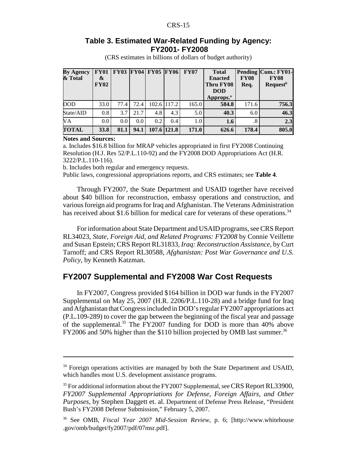#### **Table 3. Estimated War-Related Funding by Agency: FY2001- FY2008**

(CRS estimates in billions of dollars of budget authority)

| <b>By Agency</b><br>& Total | <b>FY01</b><br>&<br><b>FY02</b> | <b>FY03</b> | <b>FY04</b> | <b>FY05</b> | <b>FY06</b> | <b>FY07</b> | <b>Total</b><br><b>Enacted</b><br>Thru FY08<br><b>DOD</b><br>Approps. <sup>a</sup> | <b>FY08</b><br>Req. | Pending Cum.: FY01-<br><b>FY08</b><br><b>Request</b> <sup>b</sup> |
|-----------------------------|---------------------------------|-------------|-------------|-------------|-------------|-------------|------------------------------------------------------------------------------------|---------------------|-------------------------------------------------------------------|
| <b>DOD</b>                  | 33.0                            | 77.4        | 72.4        |             | 102.6 117.2 | 165.0       | 584.8                                                                              | 171.6               | 756.3                                                             |
| State/AID                   | 0.8                             | 3.7         | 21.7        | 4.8         | 4.3         | 5.0         | 40.3                                                                               | 6.0                 | 46.3                                                              |
| VA                          | $0.0\,$                         | 0.0         | $0.0\,$     | 0.2         | 0.4         | 1.0         | 1.6                                                                                | .8                  | 2.3                                                               |
| <b>TOTAL</b>                | <b>33.8</b>                     | 81.1        | 94.1        |             | 107.6 121.8 | 171.0       | 626.6                                                                              | 178.4               | 805.0                                                             |

**Notes and Sources:**

a. Includes \$16.8 billion for MRAP vehicles appropriated in first FY2008 Continuing Resolution (H.J. Res 52/P.L.110-92) and the FY2008 DOD Appropriations Act (H.R. 3222/P.L.110-116).

b. Includes both regular and emergency requests.

Public laws, congressional appropriations reports, and CRS estimates; see **Table 4**.

Through FY2007, the State Department and USAID together have received about \$40 billion for reconstruction, embassy operations and construction, and various foreign aid programs for Iraq and Afghanistan. The Veterans Administration has received about \$1.6 billion for medical care for veterans of these operations.<sup>34</sup>

For information about State Department and USAID programs, see CRS Report RL34023, *State, Foreign Aid, and Related Programs: FY2008* by Connie Veillette and Susan Epstein; CRS Report RL31833, *Iraq: Reconstruction Assistance*, by Curt Tarnoff; and CRS Report RL30588, *Afghanistan: Post War Governance and U.S. Policy*, by Kenneth Katzman.

# **FY2007 Supplemental and FY2008 War Cost Requests**

In FY2007, Congress provided \$164 billion in DOD war funds in the FY2007 Supplemental on May 25, 2007 (H.R. 2206/P.L.110-28) and a bridge fund for Iraq and Afghanistan that Congress included in DOD's regular FY2007 appropriations act (P.L.109-289) to cover the gap between the beginning of the fiscal year and passage of the supplemental.<sup>35</sup> The  $FY2007$  funding for DOD is more than  $40\%$  above FY2006 and 50% higher than the \$110 billion projected by OMB last summer.<sup>36</sup>

<sup>&</sup>lt;sup>34</sup> Foreign operations activities are managed by both the State Department and USAID, which handles most U.S. development assistance programs.

<sup>&</sup>lt;sup>35</sup> For additional information about the FY2007 Supplemental, see CRS Report RL33900, *FY2007 Supplemental Appropriations for Defense, Foreign Affairs, and Other Purposes*, by Stephen Daggett et. al. Department of Defense Press Release, "President Bush's FY2008 Defense Submission," February 5, 2007.

<sup>36</sup> See OMB, *Fiscal Year 2007 Mid-Session Review*, p. 6; [http://www.whitehouse .gov/omb/budget/fy2007/pdf/07msr.pdf].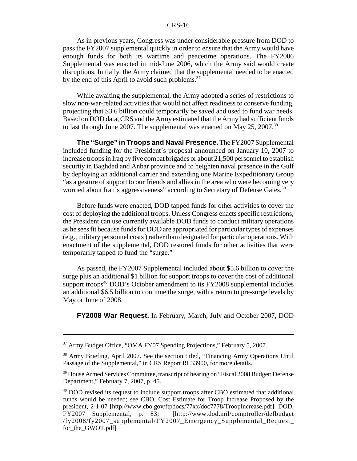As in previous years, Congress was under considerable pressure from DOD to pass the FY2007 supplemental quickly in order to ensure that the Army would have enough funds for both its wartime and peacetime operations. The FY2006 Supplemental was enacted in mid-June 2006, which the Army said would create disruptions. Initially, the Army claimed that the supplemental needed to be enacted by the end of this April to avoid such problems.<sup>37</sup>

While awaiting the supplemental, the Army adopted a series of restrictions to slow non-war-related activities that would not affect readiness to conserve funding, projecting that \$3.6 billion could temporarily be saved and used to fund war needs. Based on DOD data, CRS and the Army estimated that the Army had sufficient funds to last through June 2007. The supplemental was enacted on May 25, 2007.<sup>38</sup>

**The "Surge" in Troops and Naval Presence.** The FY2007 Supplemental included funding for the President's proposal announced on January 10, 2007 to increase troops in Iraq by five combat brigades or about 21,500 personnel to establish security in Baghdad and Anbar province and to heighten naval presence in the Gulf by deploying an additional carrier and extending one Marine Expeditionary Group "as a gesture of support to our friends and allies in the area who were becoming very worried about Iran's aggressiveness" according to Secretary of Defense Gates.<sup>39</sup>

Before funds were enacted, DOD tapped funds for other activities to cover the cost of deploying the additional troops. Unless Congress enacts specific restrictions, the President can use currently available DOD funds to conduct military operations as he sees fit because funds for DOD are appropriated for particular types of expenses (e.g., military personnel costs ) rather than designated for particular operations. With enactment of the supplemental, DOD restored funds for other activities that were temporarily tapped to fund the "surge."

As passed, the FY2007 Supplemental included about \$5.6 billion to cover the surge plus an additional \$1 billion for support troops to cover the cost of additional support troops<sup>40</sup> DOD's October amendment to its  $FY2008$  supplemental includes an additional \$6.5 billion to continue the surge, with a return to pre-surge levels by May or June of 2008.

**FY2008 War Request.** In February, March, July and October 2007, DOD

<sup>&</sup>lt;sup>37</sup> Army Budget Office, "OMA FY07 Spending Projections," February 5, 2007.

<sup>&</sup>lt;sup>38</sup> Army Briefing, April 2007. See the section titled, "Financing Army Operations Until Passage of the Supplemental," in CRS Report RL33900, for more details.

<sup>&</sup>lt;sup>39</sup> House Armed Services Committee, transcript of hearing on "Fiscal 2008 Budget: Defense Department," February 7, 2007, p. 45.

<sup>&</sup>lt;sup>40</sup> DOD revised its request to include support troops after CBO estimated that additional funds would be needed; see CBO, Cost Estimate for Troop Increase Proposed by the president, 2-1-07 [http://www.cbo.gov/ftpdocs/77xx/doc7778/TroopIncrease.pdf]. DOD, FY2007 Supplemental, p. 83; [http://www.dod.mil/comptroller/defbudget /fy2008/fy2007\_supplemental/FY2007\_Emergency\_Supplemental\_Request\_ for\_the\_GWOT.pdf]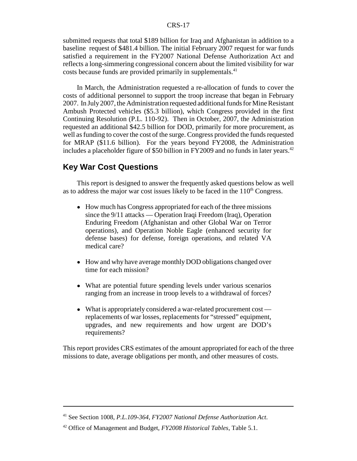submitted requests that total \$189 billion for Iraq and Afghanistan in addition to a baseline request of \$481.4 billion. The initial February 2007 request for war funds satisfied a requirement in the FY2007 National Defense Authorization Act and reflects a long-simmering congressional concern about the limited visibility for war costs because funds are provided primarily in supplementals.<sup>41</sup>

In March, the Administration requested a re-allocation of funds to cover the costs of additional personnel to support the troop increase that began in February 2007. In July 2007, the Administration requested additional funds for Mine Resistant Ambush Protected vehicles (\$5.3 billion), which Congress provided in the first Continuing Resolution (P.L. 110-92). Then in October, 2007, the Administration requested an additional \$42.5 billion for DOD, primarily for more procurement, as well as funding to cover the cost of the surge. Congress provided the funds requested for MRAP (\$11.6 billion). For the years beyond FY2008, the Administration includes a placeholder figure of \$50 billion in FY2009 and no funds in later years. $42$ 

# **Key War Cost Questions**

 This report is designed to answer the frequently asked questions below as well as to address the major war cost issues likely to be faced in the  $110<sup>th</sup> Congress$ .

- How much has Congress appropriated for each of the three missions since the 9/11 attacks — Operation Iraqi Freedom (Iraq), Operation Enduring Freedom (Afghanistan and other Global War on Terror operations), and Operation Noble Eagle (enhanced security for defense bases) for defense, foreign operations, and related VA medical care?
- How and why have average monthly DOD obligations changed over time for each mission?
- What are potential future spending levels under various scenarios ranging from an increase in troop levels to a withdrawal of forces?
- What is appropriately considered a war-related procurement cost replacements of war losses, replacements for "stressed" equipment, upgrades, and new requirements and how urgent are DOD's requirements?

This report provides CRS estimates of the amount appropriated for each of the three missions to date, average obligations per month, and other measures of costs.

<sup>41</sup> See Section 1008, *P.L.109-364, FY2007 National Defense Authorization Act*.

<sup>42</sup> Office of Management and Budget, *FY2008 Historical Tables*, Table 5.1.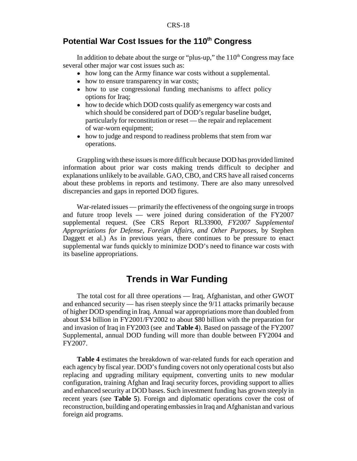# **Potential War Cost Issues for the 110<sup>th</sup> Congress**

In addition to debate about the surge or "plus-up," the  $110<sup>th</sup>$  Congress may face several other major war cost issues such as:

- how long can the Army finance war costs without a supplemental.
- how to ensure transparency in war costs;
- how to use congressional funding mechanisms to affect policy options for Iraq;
- how to decide which DOD costs qualify as emergency war costs and which should be considered part of DOD's regular baseline budget, particularly for reconstitution or reset — the repair and replacement of war-worn equipment;
- how to judge and respond to readiness problems that stem from war operations.

Grappling with these issues is more difficult because DOD has provided limited information about prior war costs making trends difficult to decipher and explanations unlikely to be available. GAO, CBO, and CRS have all raised concerns about these problems in reports and testimony. There are also many unresolved discrepancies and gaps in reported DOD figures.

War-related issues — primarily the effectiveness of the ongoing surge in troops and future troop levels — were joined during consideration of the FY2007 supplemental request. (See CRS Report RL33900, *FY2007 Supplemental Appropriations for Defense, Foreign Affairs, and Other Purposes*, by Stephen Daggett et al.) As in previous years, there continues to be pressure to enact supplemental war funds quickly to minimize DOD's need to finance war costs with its baseline appropriations.

# **Trends in War Funding**

The total cost for all three operations — Iraq, Afghanistan, and other GWOT and enhanced security — has risen steeply since the 9/11 attacks primarily because of higher DOD spending in Iraq. Annual war appropriations more than doubled from about \$34 billion in FY2001/FY2002 to about \$80 billion with the preparation for and invasion of Iraq in FY2003 (see and **Table 4**). Based on passage of the FY2007 Supplemental, annual DOD funding will more than double between FY2004 and FY2007.

**Table 4** estimates the breakdown of war-related funds for each operation and each agency by fiscal year. DOD's funding covers not only operational costs but also replacing and upgrading military equipment, converting units to new modular configuration, training Afghan and Iraqi security forces, providing support to allies and enhanced security at DOD bases. Such investment funding has grown steeply in recent years (see **Table 5**). Foreign and diplomatic operations cover the cost of reconstruction, building and operating embassies in Iraq and Afghanistan and various foreign aid programs.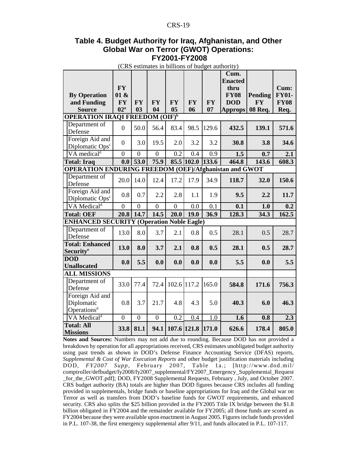#### **Table 4. Budget Authority for Iraq, Afghanistan, and Other Global War on Terror (GWOT) Operations: FY2001-FY2008**

(CRS estimates in billions of budget authority)

|                                                              |                 |                |                |                  |            |           | Cum.<br><b>Enacted</b> |           |                  |
|--------------------------------------------------------------|-----------------|----------------|----------------|------------------|------------|-----------|------------------------|-----------|------------------|
|                                                              | <b>FY</b>       |                |                |                  |            |           | thru                   |           | Cum:             |
| <b>By Operation</b>                                          | 01 &            |                |                |                  |            |           | <b>FY08</b>            | Pending   | <b>FY01-</b>     |
| and Funding                                                  | <b>FY</b>       | <b>FY</b>      | <b>FY</b>      | <b>FY</b>        | <b>FY</b>  | <b>FY</b> | <b>DOD</b>             | $\bf{F}Y$ | <b>FY08</b>      |
| <b>Source</b>                                                | 02 <sup>a</sup> | 0 <sub>3</sub> | 04             | 0 <sub>5</sub>   | 06         | 07        | <b>Approps</b>         | 08 Req.   | Req.             |
| <b>OPERATION IRAQI FREEDOM (OIF)b</b>                        |                 |                |                |                  |            |           |                        |           |                  |
| Department of<br>Defense                                     | $\overline{0}$  | 50.0           | 56.4           | 83.4             | 98.5       | 129.6     | 432.5                  | 139.1     | 571.6            |
| Foreign Aid and<br>Diplomatic Ops <sup>c</sup>               | $\overline{0}$  | 3.0            | 19.5           | 2.0              | 3.2        | 3.2       | 30.8                   | 3.8       | 34.6             |
| VA medical <sup>d</sup>                                      | $\overline{0}$  | $\overline{0}$ | $\overline{0}$ | $\overline{0.2}$ | 0.4        | 0.9       | 1.5                    | 0.7       | 2.1              |
| <b>Total: Iraq</b>                                           | 0.0             | 53.0           | 75.9           |                  | 85.5 102.0 | 133.6     | 464.8                  | 143.6     | 608.3            |
| <b>OPERATION ENDURING FREEDOM (OEF)/Afghanistan and GWOT</b> |                 |                |                |                  |            |           |                        |           |                  |
| Department of<br>Defense                                     | 20.0            | 14.0           | 12.4           | 17.2             | 17.9       | 34.9      | 118.7                  | 32.0      | 150.6            |
| Foreign Aid and<br>Diplomatic Ops <sup>c</sup>               | 0.8             | 0.7            | 2.2            | 2.8              | 1.1        | 1.9       | 9.5                    | 2.2       | 11.7             |
| VA Medical <sup>d</sup>                                      | $\overline{0}$  | $\overline{0}$ | $\overline{0}$ | $\overline{0}$   | 0.0        | 0.1       | 0.1                    | 1.0       | 0.2              |
| <b>Total: OEF</b>                                            | 20.8            | 14.7           | 14.5           | 20.0             | 19.0       | 36.9      | 128.3                  | 34.3      | 162.5            |
| <b>ENHANCED SECURITY (Operation Noble Eagle)</b>             |                 |                |                |                  |            |           |                        |           |                  |
| Department of<br>Defense                                     | 13.0            | 8.0            | 3.7            | 2.1              | 0.8        | 0.5       | 28.1                   | 0.5       | 28.7             |
| <b>Total: Enhanced</b>                                       | 13.0            | 8.0            | 3.7            | 2.1              | 0.8        | 0.5       | 28.1                   | 0.5       | 28.7             |
| Security <sup>e</sup>                                        |                 |                |                |                  |            |           |                        |           |                  |
| <b>DOD</b>                                                   | 0.0             | 5.5            | 0.0            | 0.0              | 0.0        | 0.0       | 5.5                    | 0.0       | 5.5              |
| <b>Unallocated</b>                                           |                 |                |                |                  |            |           |                        |           |                  |
| <b>ALL MISSIONS</b>                                          |                 |                |                |                  |            |           |                        |           |                  |
| Department of<br>Defense                                     | 33.0            | 77.4           | 72.4           | 102.6            | 117.2      | 165.0     | 584.8                  | 171.6     | 756.3            |
| Foreign Aid and<br>Diplomatic<br>Operations <sup>d</sup>     | 0.8             | 3.7            | 21.7           | 4.8              | 4.3        | 5.0       | 40.3                   | 6.0       | 46.3             |
| VA Medical <sup>d</sup>                                      | $\overline{0}$  | $\overline{0}$ | $\overline{0}$ | 0.2              | 0.4        | 1.0       | $\overline{1.6}$       | 0.8       | $\overline{2.3}$ |
| <b>Total: All</b><br><b>Missions</b>                         | 33.8            | 81.1           | 94.1           | 107.6 121.8      |            | 171.0     | 626.6                  | 178.4     | 805.0            |

**Notes and Sources:** Numbers may not add due to rounding. Because DOD has not provided a breakdown by operation for all appropriations received, CRS estimates unobligated budget authority using past trends as shown in DOD's Defense Finance Accounting Service (DFAS) reports, *Supplemental & Cost of War Execution Reports* and other budget justification materials including DOD, *FY2007 Supp*, February 2007, Table 1a.; [http://www.dod.mil/ comptroller/defbudget/fy2008/fy2007\_supplemental/FY2007\_Emergency\_Supplemental\_Request \_for\_the\_GWOT.pdf]; DOD, FY2008 Supplemental Requests, February , July, and October 2007. CRS budget authority (BA) totals are higher than DOD figures because CRS includes all funding provided in supplementals, bridge funds or baseline appropriations for Iraq and the Global war on Terror as well as transfers from DOD's baseline funds for GWOT requirements, and enhanced security. CRS also splits the \$25 billion provided in the FY2005 Title IX bridge between the \$1.8 billion obligated in FY2004 and the remainder available for FY2005; all those funds are scored as FY2004 because they were available upon enactment in August 2005. Figures include funds provided in P.L. 107-38, the first emergency supplemental after 9/11, and funds allocated in P.L. 107-117.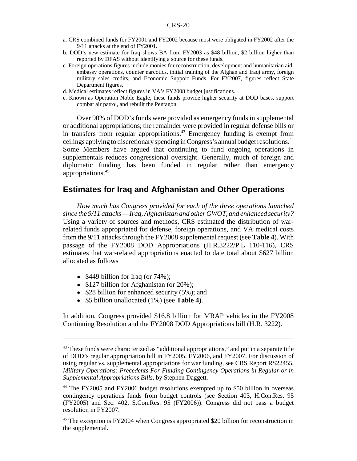- a. CRS combined funds for FY2001 and FY2002 because most were obligated in FY2002 after the 9/11 attacks at the end of FY2001.
- b. DOD's new estimate for Iraq shows BA from FY2003 as \$48 billion, \$2 billion higher than reported by DFAS without identifying a source for these funds.
- c. Foreign operations figures include monies for reconstruction, development and humanitarian aid, embassy operations, counter narcotics, initial training of the Afghan and Iraqi army, foreign military sales credits, and Economic Support Funds. For FY2007, figures reflect State Department figures.
- d. Medical estimates reflect figures in VA's FY2008 budget justifications.
- e. Known as Operation Noble Eagle, these funds provide higher security at DOD bases, support combat air patrol, and rebuilt the Pentagon.

Over 90% of DOD's funds were provided as emergency funds in supplemental or additional appropriations; the remainder were provided in regular defense bills or in transfers from regular appropriations.<sup>43</sup> Emergency funding is exempt from ceilings applying to discretionary spending in Congress's annual budget resolutions.<sup>44</sup> Some Members have argued that continuing to fund ongoing operations in supplementals reduces congressional oversight. Generally, much of foreign and diplomatic funding has been funded in regular rather than emergency appropriations.45

### **Estimates for Iraq and Afghanistan and Other Operations**

*How much has Congress provided for each of the three operations launched since the 9/11 attacks — Iraq, Afghanistan and other GWOT, and enhanced security?* Using a variety of sources and methods, CRS estimated the distribution of warrelated funds appropriated for defense, foreign operations, and VA medical costs from the 9/11 attacks through the FY2008 supplemental request (see **Table 4**). With passage of the FY2008 DOD Appropriations (H.R.3222/P.L 110-116), CRS estimates that war-related appropriations enacted to date total about \$627 billion allocated as follows

- $$449$  billion for Iraq (or 74%);
- $$127$  billion for Afghanistan (or 20%);
- $\bullet$  \$28 billion for enhanced security (5%); and
- ! \$5 billion unallocated (1%) (see **Table 4)**.

In addition, Congress provided \$16.8 billion for MRAP vehicles in the FY2008 Continuing Resolution and the FY2008 DOD Appropriations bill (H.R. 3222).

<sup>&</sup>lt;sup>43</sup> These funds were characterized as "additional appropriations," and put in a separate title of DOD's regular appropriation bill in FY2005, FY2006, and FY2007. For discussion of using regular vs. supplemental appropriations for war funding, see CRS Report RS22455, *Military Operations: Precedents For Funding Contingency Operations in Regular or in Supplemental Appropriations Bills*, by Stephen Daggett.

<sup>44</sup> The FY2005 and FY2006 budget resolutions exempted up to \$50 billion in overseas contingency operations funds from budget controls (see Section 403, H.Con.Res. 95 (FY2005) and Sec. 402, S.Con.Res. 95 (FY2006)). Congress did not pass a budget resolution in FY2007.

<sup>&</sup>lt;sup>45</sup> The exception is FY2004 when Congress appropriated \$20 billion for reconstruction in the supplemental.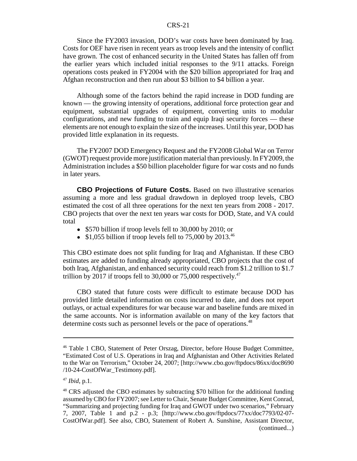Since the FY2003 invasion, DOD's war costs have been dominated by Iraq. Costs for OEF have risen in recent years as troop levels and the intensity of conflict have grown. The cost of enhanced security in the United States has fallen off from the earlier years which included initial responses to the 9/11 attacks. Foreign operations costs peaked in FY2004 with the \$20 billion appropriated for Iraq and Afghan reconstruction and then run about \$3 billion to \$4 billion a year.

Although some of the factors behind the rapid increase in DOD funding are known — the growing intensity of operations, additional force protection gear and equipment, substantial upgrades of equipment, converting units to modular configurations, and new funding to train and equip Iraqi security forces — these elements are not enough to explain the size of the increases. Until this year, DOD has provided little explanation in its requests.

The FY2007 DOD Emergency Request and the FY2008 Global War on Terror (GWOT) request provide more justification material than previously. In FY2009, the Administration includes a \$50 billion placeholder figure for war costs and no funds in later years.

**CBO Projections of Future Costs.** Based on two illustrative scenarios assuming a more and less gradual drawdown in deployed troop levels, CBO estimated the cost of all three operations for the next ten years from 2008 - 2017. CBO projects that over the next ten years war costs for DOD, State, and VA could total

- \$570 billion if troop levels fell to 30,000 by 2010; or
- $\bullet$  \$1,055 billion if troop levels fell to 75,000 by 2013.<sup>46</sup>

This CBO estimate does not split funding for Iraq and Afghanistan. If these CBO estimates are added to funding already appropriated, CBO projects that the cost of both Iraq, Afghanistan, and enhanced security could reach from \$1.2 trillion to \$1.7 trillion by 2017 if troops fell to 30,000 or 75,000 respectively.<sup>47</sup>

CBO stated that future costs were difficult to estimate because DOD has provided little detailed information on costs incurred to date, and does not report outlays, or actual expenditures for war because war and baseline funds are mixed in the same accounts. Nor is information available on many of the key factors that determine costs such as personnel levels or the pace of operations.<sup>48</sup>

<sup>46</sup> Table 1 CBO, Statement of Peter Orszag, Director, before House Budget Committee, "Estimated Cost of U.S. Operations in Iraq and Afghanistan and Other Activities Related to the War on Terrorism," October 24, 2007; [http://www.cbo.gov/ftpdocs/86xx/doc8690 /10-24-CostOfWar\_Testimony.pdf].

<sup>47</sup> *Ibid*, p.1.

<sup>&</sup>lt;sup>48</sup> CRS adjusted the CBO estimates by subtracting \$70 billion for the additional funding assumed by CBO for FY2007; see Letter to Chair, Senate Budget Committee, Kent Conrad, "Summarizing and projecting funding for Iraq and GWOT under two scenarios," February 7, 2007, Table 1 and p.2 - p.3; [http://www.cbo.gov/ftpdocs/77xx/doc7793/02-07- CostOfWar.pdf]. See also, CBO, Statement of Robert A. Sunshine, Assistant Director, (continued...)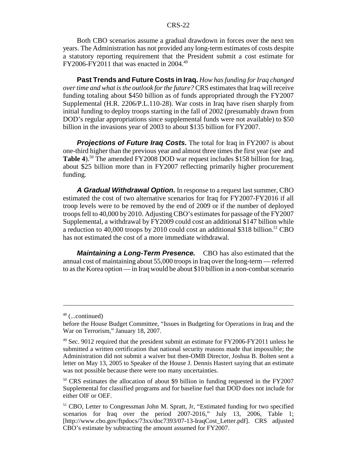Both CBO scenarios assume a gradual drawdown in forces over the next ten years. The Administration has not provided any long-term estimates of costs despite a statutory reporting requirement that the President submit a cost estimate for FY2006-FY2011 that was enacted in 2004.49

**Past Trends and Future Costs in Iraq.** *How has funding for Iraq changed over time and what is the outlook for the future?* CRS estimates that Iraq will receive funding totaling about \$450 billion as of funds appropriated through the FY2007 Supplemental (H.R. 2206/P.L.110-28). War costs in Iraq have risen sharply from initial funding to deploy troops starting in the fall of 2002 (presumably drawn from DOD's regular appropriations since supplemental funds were not available) to \$50 billion in the invasions year of 2003 to about \$135 billion for FY2007.

**Projections of Future Irag Costs.** The total for Iraq in FY2007 is about one-third higher than the previous year and almost three times the first year (see and **Table 4**).<sup>50</sup> The amended FY2008 DOD war request includes \$158 billion for Iraq, about \$25 billion more than in FY2007 reflecting primarily higher procurement funding.

*A Gradual Withdrawal Option.* In response to a request last summer, CBO estimated the cost of two alternative scenarios for Iraq for FY2007-FY2016 if all troop levels were to be removed by the end of 2009 or if the number of deployed troops fell to 40,000 by 2010. Adjusting CBO's estimates for passage of the FY2007 Supplemental, a withdrawal by FY2009 could cost an additional \$147 billion while a reduction to  $40,000$  troops by 2010 could cost an additional \$318 billion.<sup>51</sup> CBO has not estimated the cost of a more immediate withdrawal.

*Maintaining a Long-Term Presence.* CBO has also estimated that the annual cost of maintaining about 55,000 troops in Iraq over the long-term — referred to as the Korea option — in Iraq would be about \$10 billion in a non-combat scenario

<sup>48 (...</sup>continued)

before the House Budget Committee, "Issues in Budgeting for Operations in Iraq and the War on Terrorism," January 18, 2007.

 $49$  Sec. 9012 required that the president submit an estimate for FY2006-FY2011 unless he submitted a written certification that national security reasons made that impossible; the Administration did not submit a waiver but then-OMB Director, Joshua B. Bolten sent a letter on May 13, 2005 to Speaker of the House J. Dennis Hastert saying that an estimate was not possible because there were too many uncertainties.

<sup>50</sup> CRS estimates the allocation of about \$9 billion in funding requested in the FY2007 Supplemental for classified programs and for baseline fuel that DOD does not include for either OIF or OEF.

<sup>&</sup>lt;sup>51</sup> CBO, Letter to Congressman John M. Spratt, Jr, "Estimated funding for two specified scenarios for Iraq over the period 2007-2016," July 13, 2006, Table 1; [http://www.cbo.gov/ftpdocs/73xx/doc7393/07-13-IraqCost\_Letter.pdf]. CRS adjusted CBO's estimate by subtracting the amount assumed for FY2007.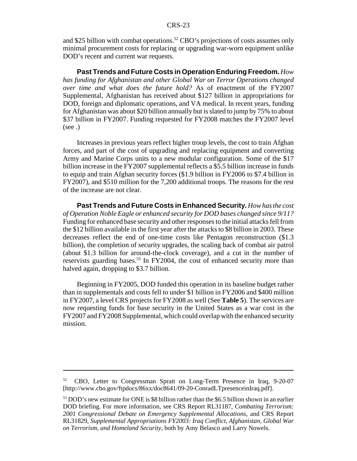and \$25 billion with combat operations.<sup>52</sup> CBO's projections of costs assumes only minimal procurement costs for replacing or upgrading war-worn equipment unlike DOD's recent and current war requests.

**Past Trends and Future Costs in Operation Enduring Freedom.** *How has funding for Afghanistan and other Global War on Terror Operations changed over time and what does the future hold?* As of enactment of the FY2007 Supplemental, Afghanistan has received about \$127 billion in appropriations for DOD, foreign and diplomatic operations, and VA medical. In recent years, funding for Afghanistan was about \$20 billion annually but is slated to jump by 75% to about \$37 billion in FY2007. Funding requested for FY2008 matches the FY2007 level (see .)

Increases in previous years reflect higher troop levels, the cost to train Afghan forces, and part of the cost of upgrading and replacing equipment and converting Army and Marine Corps units to a new modular configuration. Some of the \$17 billion increase in the FY2007 supplemental reflects a \$5.5 billion increase in funds to equip and train Afghan security forces (\$1.9 billion in FY2006 to \$7.4 billion in FY2007), and \$510 million for the 7,200 additional troops. The reasons for the rest of the increase are not clear.

**Past Trends and Future Costs in Enhanced Security.** *How has the cost of Operation Noble Eagle or enhanced security for DOD bases changed since 9/11?* Funding for enhanced base security and other responses to the initial attacks fell from the \$12 billion available in the first year after the attacks to \$8 billion in 2003. These decreases reflect the end of one-time costs like Pentagon reconstruction (\$1.3 billion), the completion of security upgrades, the scaling back of combat air patrol (about \$1.3 billion for around-the-clock coverage), and a cut in the number of reservists guarding bases.<sup>53</sup> In FY2004, the cost of enhanced security more than halved again, dropping to \$3.7 billion.

Beginning in FY2005, DOD funded this operation in its baseline budget rather than in supplementals and costs fell to under \$1 billion in FY2006 and \$400 million in FY2007, a level CRS projects for FY2008 as well (See **Table 5**). The services are now requesting funds for base security in the United States as a war cost in the FY2007 and FY2008 Supplemental, which could overlap with the enhanced security mission.

<sup>52</sup> CBO, Letter to Congressman Spratt on Long-Term Presence in Iraq, 9-20-07 [http://www.cbo.gov/ftpdocs/86xx/doc8641/09-20-ConradLTpresenceinIraq.pdf].

<sup>&</sup>lt;sup>53</sup> DOD's new estimate for ONE is \$8 billion rather than the \$6.5 billion shown in an earlier DOD briefing. For more information, see CRS Report RL31187, *Combating Terrorism: 2001 Congressional Debate on Emergency Supplemental Allocations*, and CRS Report RL31829, *Supplemental Appropriations FY2003: Iraq Conflict, Afghanistan, Global War on Terrorism, and Homeland Security*, both by Amy Belasco and Larry Nowels.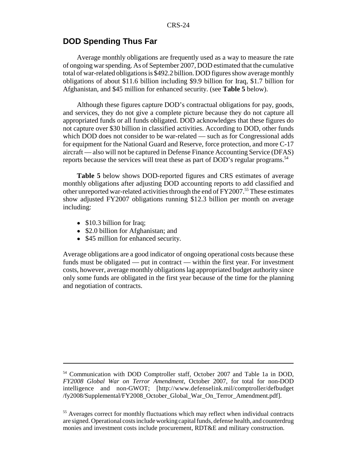# **DOD Spending Thus Far**

Average monthly obligations are frequently used as a way to measure the rate of ongoing war spending. As of September 2007, DOD estimated that the cumulative total of war-related obligations is \$492.2 billion. DOD figures show average monthly obligations of about \$11.6 billion including \$9.9 billion for Iraq, \$1.7 billion for Afghanistan, and \$45 million for enhanced security. (see **Table 5** below).

Although these figures capture DOD's contractual obligations for pay, goods, and services, they do not give a complete picture because they do not capture all appropriated funds or all funds obligated. DOD acknowledges that these figures do not capture over \$30 billion in classified activities. According to DOD, other funds which DOD does not consider to be war-related — such as for Congressional adds for equipment for the National Guard and Reserve, force protection, and more C-17 aircraft — also will not be captured in Defense Finance Accounting Service (DFAS) reports because the services will treat these as part of DOD's regular programs.<sup>54</sup>

**Table 5** below shows DOD-reported figures and CRS estimates of average monthly obligations after adjusting DOD accounting reports to add classified and other unreported war-related activities through the end of FY2007.<sup>55</sup> These estimates show adjusted FY2007 obligations running \$12.3 billion per month on average including:

- $\bullet$  \$10.3 billion for Iraq;
- \$2.0 billion for Afghanistan; and
- \$45 million for enhanced security.

Average obligations are a good indicator of ongoing operational costs because these funds must be obligated — put in contract — within the first year. For investment costs, however, average monthly obligations lag appropriated budget authority since only some funds are obligated in the first year because of the time for the planning and negotiation of contracts.

<sup>54</sup> Communication with DOD Comptroller staff, October 2007 and Table 1a in DOD, *FY2008 Global War on Terror Amendment*, October 2007, for total for non-DOD intelligence and non-GWOT; [http://www.defenselink.mil/comptroller/defbudget /fy2008/Supplemental/FY2008\_October\_Global\_War\_On\_Terror\_Amendment.pdf].

<sup>&</sup>lt;sup>55</sup> Averages correct for monthly fluctuations which may reflect when individual contracts are signed. Operational costs include working capital funds, defense health, and counterdrug monies and investment costs include procurement, RDT&E and military construction.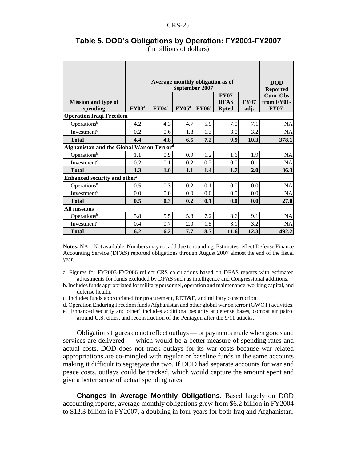|                                           |              |              | Average monthly obligation as of<br>September 2007 |          |                                            |                     | <b>DOD</b><br><b>Reported</b>                |
|-------------------------------------------|--------------|--------------|----------------------------------------------------|----------|--------------------------------------------|---------------------|----------------------------------------------|
| <b>Mission and type of</b><br>spending    | $\rm FY03^a$ | $\rm FY04^a$ | $\rm FY05^a$                                       | $FY06^a$ | <b>FY07</b><br><b>DFAS</b><br><b>Rpted</b> | <b>FY07</b><br>adj. | <b>Cum. Obs</b><br>from FY01-<br><b>FY07</b> |
| <b>Operation Iraqi Freedom</b>            |              |              |                                                    |          |                                            |                     |                                              |
| Operations <sup>b</sup>                   | 4.2          | 4.3          | 4.7                                                | 5.9      | 7.0                                        | 7.1                 | <b>NA</b>                                    |
| Investment <sup>c</sup>                   | 0.2          | 0.6          | 1.8                                                | 1.3      | 3.0                                        | 3.2                 | <b>NA</b>                                    |
| <b>Total</b>                              | 4.4          | 4.8          | 6.5                                                | 7.2      | 9.9                                        | 10.3                | 378.1                                        |
| Afghanistan and the Global War on Terrord |              |              |                                                    |          |                                            |                     |                                              |
| Operations <sup>b</sup>                   | 1.1          | 0.9          | 0.9                                                | 1.2      | 1.6                                        | 1.9                 | <b>NA</b>                                    |
| Investment <sup>c</sup>                   | 0.2          | 0.1          | 0.2                                                | 0.2      | 0.0                                        | 0.1                 | NA                                           |
| <b>Total</b>                              | 1.3          | 1.0          | 1.1                                                | 1.4      | 1.7                                        | 2.0                 | 86.3                                         |
| Enhanced security and other <sup>e</sup>  |              |              |                                                    |          |                                            |                     |                                              |
| Operations <sup>b</sup>                   | 0.5          | 0.3          | 0.2                                                | 0.1      | 0.0                                        | 0.0                 | <b>NA</b>                                    |
| Investment <sup>c</sup>                   | 0.0          | 0.0          | 0.0                                                | 0.0      | 0.0                                        | 0.0                 | NA                                           |
| <b>Total</b>                              | 0.5          | 0.3          | 0.2                                                | 0.1      | 0.0                                        | 0.0                 | 27.8                                         |
| <b>All missions</b>                       |              |              |                                                    |          |                                            |                     |                                              |
| Operations <sup>b</sup>                   | 5.8          | 5.5          | 5.8                                                | 7.2      | 8.6                                        | 9.1                 | NA                                           |
| Investment <sup>c</sup>                   | 0.4          | 0.7          | 2.0                                                | 1.5      | 3.1                                        | 3.2                 | NA                                           |
| <b>Total</b>                              | 6.2          | 6.2          | 7.7                                                | 8.7      | 11.6                                       | 12.3                | 492.2                                        |

#### **Table 5. DOD's Obligations by Operation: FY2001-FY2007** (in billions of dollars)

**Notes:** NA = Not available. Numbers may not add due to rounding. Estimates reflect Defense Finance Accounting Service (DFAS) reported obligations through August 2007 almost the end of the fiscal year.

a. Figures for FY2003-FY2006 reflect CRS calculations based on DFAS reports with estimated adjustments for funds excluded by DFAS such as intelligence and Congressional additions.

b. Includes funds appropriated for military personnel, operation and maintenance, working capital, and defense health.

- c. Includes funds appropriated for procurement, RDT&E, and military construction.
- d. Operation Enduring Freedom funds Afghanistan and other global war on terror (GWOT) activities.

e. 'Enhanced security and other' includes additional security at defense bases, combat air patrol around U.S. cities, and reconstruction of the Pentagon after the 9/11 attacks.

Obligations figures do not reflect outlays — or payments made when goods and services are delivered — which would be a better measure of spending rates and actual costs. DOD does not track outlays for its war costs because war-related appropriations are co-mingled with regular or baseline funds in the same accounts making it difficult to segregate the two. If DOD had separate accounts for war and peace costs, outlays could be tracked, which would capture the amount spent and give a better sense of actual spending rates.

**Changes in Average Monthly Obligations.** Based largely on DOD accounting reports, average monthly obligations grew from \$6.2 billion in FY2004 to \$12.3 billion in FY2007, a doubling in four years for both Iraq and Afghanistan.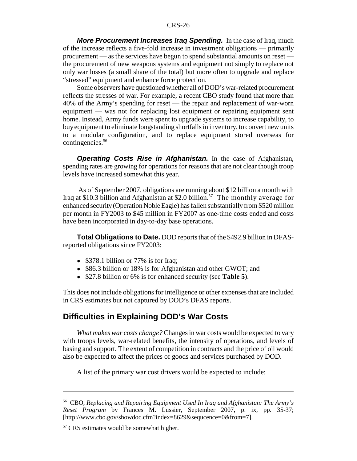*More Procurement Increases Iraq Spending.* In the case of Iraq, much of the increase reflects a five-fold increase in investment obligations — primarily procurement — as the services have begun to spend substantial amounts on reset the procurement of new weapons systems and equipment not simply to replace not only war losses (a small share of the total) but more often to upgrade and replace "stressed" equipment and enhance force protection.

Some observers have questioned whether all of DOD's war-related procurement reflects the stresses of war. For example, a recent CBO study found that more than 40% of the Army's spending for reset — the repair and replacement of war-worn equipment — was not for replacing lost equipment or repairing equipment sent home. Instead, Army funds were spent to upgrade systems to increase capability, to buy equipment to eliminate longstanding shortfalls in inventory, to convert new units to a modular configuration, and to replace equipment stored overseas for contingencies.<sup>56</sup>

*Operating Costs Rise in Afghanistan.* In the case of Afghanistan, spending rates are growing for operations for reasons that are not clear though troop levels have increased somewhat this year.

 As of September 2007, obligations are running about \$12 billion a month with Iraq at \$10.3 billion and Afghanistan at \$2.0 billion.<sup>57</sup> The monthly average for enhanced security (Operation Noble Eagle) has fallen substantially from \$520 million per month in FY2003 to \$45 million in FY2007 as one-time costs ended and costs have been incorporated in day-to-day base operations.

**Total Obligations to Date.** DOD reports that of the \$492.9 billion in DFASreported obligations since FY2003:

- \$378.1 billion or 77% is for Iraq;
- ! \$86.3 billion or 18% is for Afghanistan and other GWOT; and
- ! \$27.8 billion or 6% is for enhanced security (see **Table 5**).

This does not include obligations for intelligence or other expenses that are included in CRS estimates but not captured by DOD's DFAS reports.

### **Difficulties in Explaining DOD's War Costs**

*What makes war costs change?* Changes in war costs would be expected to vary with troops levels, war-related benefits, the intensity of operations, and levels of basing and support. The extent of competition in contracts and the price of oil would also be expected to affect the prices of goods and services purchased by DOD.

A list of the primary war cost drivers would be expected to include:

<sup>56</sup> CBO, *Replacing and Repairing Equipment Used In Iraq and Afghanistan: The Army's Reset Program* by Frances M. Lussier, September 2007, p. ix, pp. 35-37; [http://www.cbo.gov/showdoc.cfm?index=8629&sequcence=0&from=7].

<sup>57</sup> CRS estimates would be somewhat higher.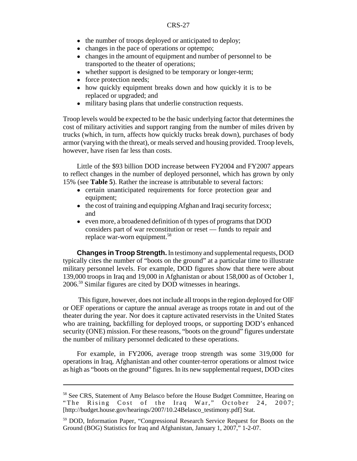- the number of troops deployed or anticipated to deploy;
- changes in the pace of operations or optempo;
- changes in the amount of equipment and number of personnel to be transported to the theater of operations;
- whether support is designed to be temporary or longer-term;
- force protection needs;
- how quickly equipment breaks down and how quickly it is to be replaced or upgraded; and
- military basing plans that underlie construction requests.

Troop levels would be expected to be the basic underlying factor that determines the cost of military activities and support ranging from the number of miles driven by trucks (which, in turn, affects how quickly trucks break down), purchases of body armor (varying with the threat), or meals served and housing provided. Troop levels, however, have risen far less than costs.

Little of the \$93 billion DOD increase between FY2004 and FY2007 appears to reflect changes in the number of deployed personnel, which has grown by only 15% (see **Table 5**). Rather the increase is attributable to several factors:

- certain unanticipated requirements for force protection gear and equipment;
- the cost of training and equipping Afghan and Iraqi security forcesx; and
- even more, a broadened definition of the types of programs that DOD considers part of war reconstitution or reset — funds to repair and replace war-worn equipment.<sup>58</sup>

**Changes in Troop Strength.** In testimony and supplemental requests, DOD typically cites the number of "boots on the ground" at a particular time to illustrate military personnel levels. For example, DOD figures show that there were about 139,000 troops in Iraq and 19,000 in Afghanistan or about 158,000 as of October 1, 2006.59 Similar figures are cited by DOD witnesses in hearings.

 This figure, however, does not include all troops in the region deployed for OIF or OEF operations or capture the annual average as troops rotate in and out of the theater during the year. Nor does it capture activated reservists in the United States who are training, backfilling for deployed troops, or supporting DOD's enhanced security (ONE) mission. For these reasons, "boots on the ground" figures understate the number of military personnel dedicated to these operations.

For example, in FY2006, average troop strength was some 319,000 for operations in Iraq, Afghanistan and other counter-terror operations or almost twice as high as "boots on the ground" figures. In its new supplemental request, DOD cites

<sup>58</sup> See CRS, Statement of Amy Belasco before the House Budget Committee, Hearing on "The Rising Cost of the Iraq War," October 24, 2007; [http://budget.house.gov/hearings/2007/10.24Belasco\_testimony.pdf] Stat.

<sup>59</sup> DOD, Information Paper, "Congressional Research Service Request for Boots on the Ground (BOG) Statistics for Iraq and Afghanistan, January 1, 2007," 1-2-07.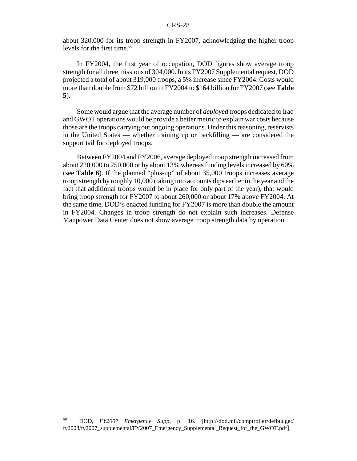about 320,000 for its troop strength in FY2007, acknowledging the higher troop levels for the first time. $60$ 

In FY2004, the first year of occupation, DOD figures show average troop strength for all three missions of 304,000. In its FY2007 Supplemental request, DOD projected a total of about 319,000 troops, a 5% increase since FY2004. Costs would more than double from \$72 billion in FY2004 to \$164 billion for FY2007 (see **Table 5**).

Some would argue that the average number of *deployed* troops dedicated to Iraq and GWOT operations would be provide a better metric to explain war costs because those are the troops carrying out ongoing operations. Under this reasoning, reservists in the United States — whether training up or backfilling — are considered the support tail for deployed troops.

Between FY2004 and FY2006, average deployed troop strength increased from about 220,000 to 250,000 or by about 13% whereas funding levels increased by 60% (see **Table 6**). If the planned "plus-up" of about 35,000 troops increases average troop strength by roughly 10,000 (taking into accounts dips earlier in the year and the fact that additional troops would be in place for only part of the year), that would bring troop strength for FY2007 to about 260,000 or about 17% above FY2004. At the same time, DOD's enacted funding for FY2007 is more than double the amount in FY2004. Changes in troop strength do not explain such increases. Defense Manpower Data Center does not show average troop strength data by operation.

<sup>60</sup> DOD, *FY2007 Emergency Supp,* p. 16. [http://dod.mil/comptroller/defbudget/ fy2008/fy2007\_supplemental/FY2007\_Emergency\_Supplemental\_Request\_for\_the\_GWOT.pdf].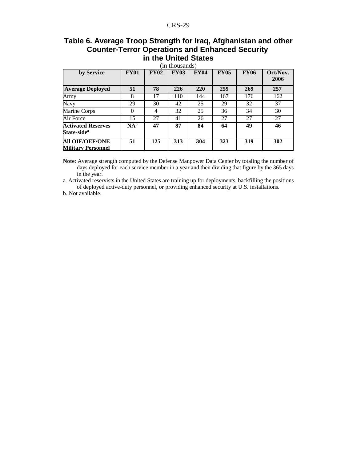# **Table 6. Average Troop Strength for Iraq, Afghanistan and other Counter-Terror Operations and Enhanced Security in the United States**

| (in thousands)                                       |             |             |             |             |             |             |                  |  |  |
|------------------------------------------------------|-------------|-------------|-------------|-------------|-------------|-------------|------------------|--|--|
| by Service                                           | <b>FY01</b> | <b>FY02</b> | <b>FY03</b> | <b>FY04</b> | <b>FY05</b> | <b>FY06</b> | Oct/Nov.<br>2006 |  |  |
| <b>Average Deployed</b>                              | 51          | 78          | 226         | 220         | 259         | 269         | 257              |  |  |
| Army                                                 | 8           | 17          | 110         | 144         | 167         | 176         | 162              |  |  |
| <b>Navy</b>                                          | 29          | 30          | 42          | 25          | 29          | 32          | 37               |  |  |
| Marine Corps                                         | $\theta$    | 4           | 32          | 25          | 36          | 34          | 30               |  |  |
| Air Force                                            | 15          | 27          | 41          | 26          | 27          | 27          | 27               |  |  |
| <b>Activated Reserves</b><br>State-side <sup>a</sup> | $NA^b$      | 47          | 87          | 84          | 64          | 49          | 46               |  |  |
| <b>All OIF/OEF/ONE</b><br><b>Military Personnel</b>  | 51          | 125         | 313         | 304         | 323         | 319         | 302              |  |  |

**Note**: Average strength computed by the Defense Manpower Data Center by totaling the number of days deployed for each service member in a year and then dividing that figure by the 365 days in the year.

a. Activated reservists in the United States are training up for deployments, backfilling the positions of deployed active-duty personnel, or providing enhanced security at U.S. installations.

b. Not available.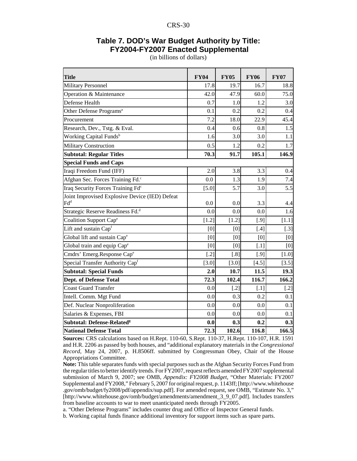### **Table 7. DOD's War Budget Authority by Title: FY2004-FY2007 Enacted Supplemental**

| <b>Title</b>                                                      | <b>FY04</b> | <b>FY05</b> | <b>FY06</b>         | <b>FY07</b> |
|-------------------------------------------------------------------|-------------|-------------|---------------------|-------------|
| <b>Military Personnel</b>                                         | 17.8        | 19.7        | 16.7                | 18.8        |
| Operation & Maintenance                                           | 42.0        | 47.9        | 60.0                | 75.0        |
| Defense Health                                                    | 0.7         | 1.0         | 1.2                 | 3.0         |
| Other Defense Programs <sup>a</sup>                               | 0.1         | 0.2         | 0.2                 | 0.4         |
| Procurement                                                       | 7.2         | 18.0        | 22.9                | 45.4        |
| Research, Dev., Tstg. & Eval.                                     | 0.4         | 0.6         | 0.8                 | 1.5         |
| Working Capital Funds <sup>b</sup>                                | 1.6         | 3.0         | 3.0                 | 1.1         |
| <b>Military Construction</b>                                      | 0.5         | 1.2         | 0.2                 | 1.7         |
| <b>Subtotal: Regular Titles</b>                                   | 70.3        | 91.7        | 105.1               | 146.9       |
| <b>Special Funds and Caps</b>                                     |             |             |                     |             |
| Iraqi Freedom Fund (IFF)                                          | 2.0         | 3.8         | 3.3                 | 0.4         |
| Afghan Sec. Forces Training Fd. <sup>c</sup>                      | 0.0         | 1.3         | 1.9                 | 7.4         |
| Iraq Security Forces Training Fd <sup>c</sup>                     | $[5.0]$     | 5.7         | 3.0                 | 5.5         |
| Joint Improvised Explosive Device (IED) Defeat<br>$\mathrm{Fd}^d$ | 0.0         | 0.0         | 3.3                 | 4.4         |
| Strategic Reserve Readiness Fd. <sup>d</sup>                      | 0.0         | 0.0         | 0.0                 | 1.6         |
| Coalition Support Cape                                            | $[1.2]$     | $[1.2]$     | $[.9]$              | $[1.1]$     |
| Lift and sustain Capf                                             | [0]         | [0]         | $[.4]$              | $[.3]$      |
| Global lift and sustain Cape                                      | [0]         | [0]         | [0]                 | [0]         |
| Global train and equip Cape                                       | [0]         | [0]         | $\left[ .1 \right]$ | [0]         |
| Cmdrs' Emerg.Response Cape                                        | $[.2]$      | [.8]        | $[.9]$              | $[1.0]$     |
| Special Transfer Authority Capf                                   | $[3.0]$     | $[3.0]$     | $[4.5]$             | [3.5]       |
| <b>Subtotal: Special Funds</b>                                    | 2.0         | 10.7        | 11.5                | 19.3        |
| <b>Dept. of Defense Total</b>                                     | 72.3        | 102.4       | 116.7               | 166.2       |
| <b>Coast Guard Transfer</b>                                       | 0.0         | $[.2]$      | $[.1]$              | $[.2]$      |
| Intell. Comm. Mgt Fund                                            | 0.0         | 0.3         | 0.2                 | 0.1         |
| Def. Nuclear Nonproliferation                                     | 0.0         | 0.0         | 0.0                 | 0.1         |
| Salaries & Expenses, FBI                                          | 0.0         | 0.0         | 0.0                 | 0.1         |
| Subtotal: Defense-Related <sup>g</sup>                            | 0.0         | 0.3         | 0.2                 | 0.3         |
| <b>National Defense Total</b>                                     | 72.3        | 102.6       | 116.8               | 166.5       |

(in billions of dollars)

**Sources:** CRS calculations based on H.Rept. 110-60, S.Rept. 110-37, H.Rept. 110-107, H.R. 1591 and H.R. 2206 as passed by both houses, and "additional explanatory materials in the *Congressional Record,* May 24, 2007, p. H.8506ff. submitted by Congressman Obey, Chair of the House Appropriations Committee.

**Note:** This table separates funds with special purposes such as the Afghan Security Forces Fund from the regular titles to better identify trends. For FY2007, request reflects amended FY2007 supplemental submission of March 9, 2007; see OMB, *Appendix: FY2008 Budget*, "Other Materials: FY2007 Supplemental and FY2008," February 5, 2007 for original request, p. 1143ff; [http://www.whitehouse .gov/omb/budget/fy2008/pdf/appendix/sup.pdf]. For amended request, see OMB, "Estimate No. 3," [http://www.whitehouse.gov/omb/budget/amendments/amendment\_3\_9\_07.pdf]. Includes transfers from baseline accounts to war to meet unanticipated needs through FY2005.

a. "Other Defense Programs" includes counter drug and Office of Inspector General funds.

b. Working capital funds finance additional inventory for support items such as spare parts.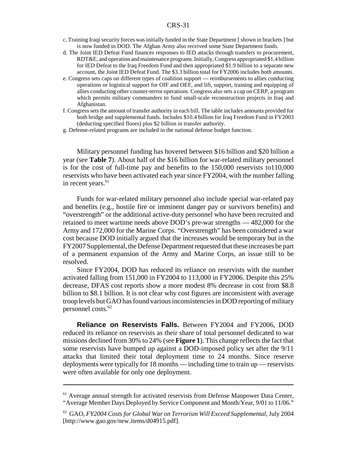- c. Training Iraqi security forces was initially funded in the State Department [ shown in brackets ] but is now funded in DOD. The Afghan Army also received some State Department funds.
- d. The Joint IED Defeat Fund finances responses to IED attacks through transfers to procurement, RDT&E, and operation and maintenance programs. Initially, Congress appropriated \$1.4 billion for IED Defeat to the Iraq Freedom Fund and then appropriated \$1.9 billion to a separate new account, the Joint IED Defeat Fund. The \$3.3 billion total for FY2006 includes both amounts.
- e. Congress sets caps on different types of coalition support reimbursements to allies conducting operations or logistical support for OIF and OEF, and lift, support, training and equipping of allies conducting other counter-terror operations. Congress also sets a cap on CERP, a program which permits military commanders to fund small-scale reconstruction projects in Iraq and Afghanistan.
- f. Congress sets the amount of transfer authority in each bill. The table includes amounts provided for both bridge and supplemental funds. Includes \$10.4 billion for Iraq Freedom Fund in FY2003 (deducting specified floors) plus \$2 billion in transfer authority.
- g. Defense-related programs are included in the national defense budget function.

Military personnel funding has hovered between \$16 billion and \$20 billion a year (see **Table 7**). About half of the \$16 billion for war-related military personnel is for the cost of full-time pay and benefits to the 150,000 reservists to110,000 reservists who have been activated each year since FY2004, with the number falling in recent years.<sup>61</sup>

Funds for war-related military personnel also include special war-related pay and benefits (e.g., hostile fire or imminent danger pay or survivors benefits) and "overstrength" or the additional active-duty personnel who have been recruited and retained to meet wartime needs above DOD's pre-war strengths — 482,000 for the Army and 172,000 for the Marine Corps. "Overstrength" has been considered a war cost because DOD initially argued that the increases would be temporary but in the FY2007 Supplemental, the Defense Department requested that these increases be part of a permanent expansion of the Army and Marine Corps, an issue still to be resolved.

Since FY2004, DOD has reduced its reliance on reservists with the number activated falling from 151,000 in FY2004 to 113,000 in FY2006. Despite this 25% decrease, DFAS cost reports show a more modest 8% decrease in cost from \$8.8 billion to \$8.1 billion. It is not clear why cost figures are inconsistent with average troop levels but GAO has found various inconsistencies in DOD reporting of military personnel costs.62

**Reliance on Reservists Falls.** Between FY2004 and FY2006, DOD reduced its reliance on reservists as their share of total personnel dedicated to war missions declined from 30% to 24% (see **Figure 1**). This change reflects the fact that some reservists have bumped up against a DOD-imposed policy set after the 9/11 attacks that limited their total deployment time to 24 months. Since reserve deployments were typically for 18 months — including time to train up — reservists were often available for only one deployment.

<sup>&</sup>lt;sup>61</sup> Average annual strength for activated reservists from Defense Manpower Data Center, "Average Member Days Deployed by Service Component and Month/Year, 9/01 to 11/06."

<sup>62</sup> GAO, *FY2004 Costs for Global War on Terrorism Will Exceed Supplemental*, July 2004 [http://www.gao.gov/new.items/d04915.pdf].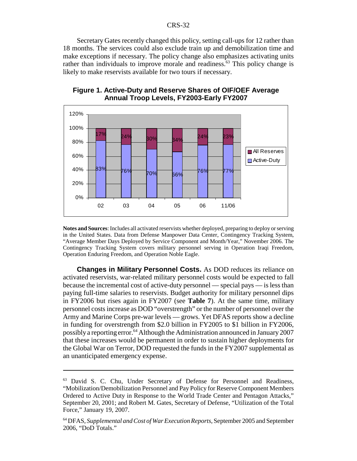Secretary Gates recently changed this policy, setting call-ups for 12 rather than 18 months. The services could also exclude train up and demobilization time and make exceptions if necessary. The policy change also emphasizes activating units rather than individuals to improve morale and readiness.<sup>63</sup> This policy change is likely to make reservists available for two tours if necessary.



**Figure 1. Active-Duty and Reserve Shares of OIF/OEF Average Annual Troop Levels, FY2003-Early FY2007**

**Notes and Sources**: Includes all activated reservists whether deployed, preparing to deploy or serving in the United States. Data from Defense Manpower Data Center, Contingency Tracking System, "Average Member Days Deployed by Service Component and Month/Year," November 2006. The Contingency Tracking System covers military personnel serving in Operation Iraqi Freedom, Operation Enduring Freedom, and Operation Noble Eagle.

**Changes in Military Personnel Costs.** As DOD reduces its reliance on activated reservists, war-related military personnel costs would be expected to fall because the incremental cost of active-duty personnel — special pays — is less than paying full-time salaries to reservists. Budget authority for military personnel dips in FY2006 but rises again in FY2007 (see **Table 7**). At the same time, military personnel costs increase as DOD "overstrength" or the number of personnel over the Army and Marine Corps pre-war levels — grows. Yet DFAS reports show a decline in funding for overstrength from \$2.0 billion in FY2005 to \$1 billion in FY2006, possibly a reporting error.<sup>64</sup> Although the Administration announced in January 2007 that these increases would be permanent in order to sustain higher deployments for the Global War on Terror, DOD requested the funds in the FY2007 supplemental as an unanticipated emergency expense.

<sup>&</sup>lt;sup>63</sup> David S. C. Chu, Under Secretary of Defense for Personnel and Readiness, "Mobilization/Demobilization Personnel and Pay Policy for Reserve Component Members Ordered to Active Duty in Response to the World Trade Center and Pentagon Attacks," September 20, 2001; and Robert M. Gates, Secretary of Defense, "Utilization of the Total Force," January 19, 2007.

<sup>64</sup> DFAS, *Supplemental and Cost of War Execution Reports*, September 2005 and September 2006, "DoD Totals."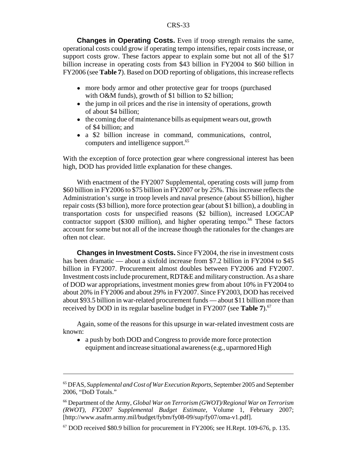**Changes in Operating Costs.** Even if troop strength remains the same, operational costs could grow if operating tempo intensifies, repair costs increase, or support costs grow. These factors appear to explain some but not all of the \$17 billion increase in operating costs from \$43 billion in FY2004 to \$60 billion in FY2006 (see **Table 7**). Based on DOD reporting of obligations, this increase reflects

- more body armor and other protective gear for troops (purchased with O&M funds), growth of \$1 billion to \$2 billion;
- the jump in oil prices and the rise in intensity of operations, growth of about \$4 billion;
- the coming due of maintenance bills as equipment wears out, growth of \$4 billion; and
- ! a \$2 billion increase in command, communications, control, computers and intelligence support.<sup>65</sup>

With the exception of force protection gear where congressional interest has been high, DOD has provided little explanation for these changes.

With enactment of the FY2007 Supplemental, operating costs will jump from \$60 billion in FY2006 to \$75 billion in FY2007 or by 25%. This increase reflects the Administration's surge in troop levels and naval presence (about \$5 billion), higher repair costs (\$3 billion), more force protection gear (about \$1 billion), a doubling in transportation costs for unspecified reasons (\$2 billion), increased LOGCAP contractor support (\$300 million), and higher operating tempo.<sup>66</sup> These factors account for some but not all of the increase though the rationales for the changes are often not clear.

**Changes in Investment Costs.** Since FY2004, the rise in investment costs has been dramatic — about a sixfold increase from \$7.2 billion in FY2004 to \$45 billion in FY2007. Procurement almost doubles between FY2006 and FY2007. Investment costs include procurement, RDT&E and military construction. As a share of DOD war appropriations, investment monies grew from about 10% in FY2004 to about 20% in FY2006 and about 29% in FY2007. Since FY2003, DOD has received about \$93.5 billion in war-related procurement funds — about \$11 billion more than received by DOD in its regular baseline budget in FY2007 (see **Table 7**).<sup>67</sup>

Again, some of the reasons for this upsurge in war-related investment costs are known:

• a push by both DOD and Congress to provide more force protection equipment and increase situational awareness (e.g., uparmored High

<sup>65</sup> DFAS, *Supplemental and Cost of War Execution Reports*, September 2005 and September 2006, "DoD Totals."

<sup>66</sup> Department of the Army, *Global War on Terrorism (GWOT)/Regional War on Terrorism (RWOT), FY2007 Supplemental Budget Estimate,* Volume 1, February 2007; [http://www.asafm.army.mil/budget/fybm/fy08-09/sup/fy07/oma-v1.pdf].

 $67$  DOD received \$80.9 billion for procurement in FY2006; see H.Rept. 109-676, p. 135.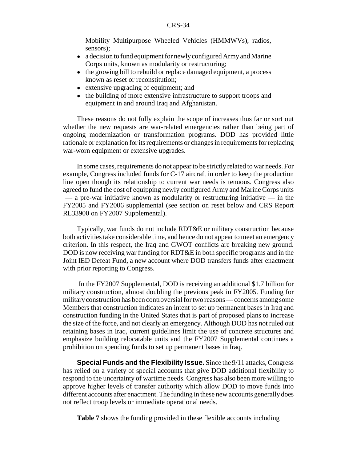Mobility Multipurpose Wheeled Vehicles (HMMWVs), radios, sensors);

- a decision to fund equipment for newly configured Army and Marine Corps units, known as modularity or restructuring;
- the growing bill to rebuild or replace damaged equipment, a process known as reset or reconstitution;
- extensive upgrading of equipment; and
- the building of more extensive infrastructure to support troops and equipment in and around Iraq and Afghanistan.

These reasons do not fully explain the scope of increases thus far or sort out whether the new requests are war-related emergencies rather than being part of ongoing modernization or transformation programs. DOD has provided little rationale or explanation for its requirements or changes in requirements for replacing war-worn equipment or extensive upgrades.

In some cases, requirements do not appear to be strictly related to war needs. For example, Congress included funds for C-17 aircraft in order to keep the production line open though its relationship to current war needs is tenuous. Congress also agreed to fund the cost of equipping newly configured Army and Marine Corps units — a pre-war initiative known as modularity or restructuring initiative — in the FY2005 and FY2006 supplemental (see section on reset below and CRS Report RL33900 on FY2007 Supplemental).

Typically, war funds do not include RDT&E or military construction because both activities take considerable time, and hence do not appear to meet an emergency criterion. In this respect, the Iraq and GWOT conflicts are breaking new ground. DOD is now receiving war funding for RDT&E in both specific programs and in the Joint IED Defeat Fund, a new account where DOD transfers funds after enactment with prior reporting to Congress.

 In the FY2007 Supplemental, DOD is receiving an additional \$1.7 billion for military construction, almost doubling the previous peak in FY2005. Funding for military construction has been controversial for two reasons — concerns among some Members that construction indicates an intent to set up permanent bases in Iraq and construction funding in the United States that is part of proposed plans to increase the size of the force, and not clearly an emergency. Although DOD has not ruled out retaining bases in Iraq, current guidelines limit the use of concrete structures and emphasize building relocatable units and the FY2007 Supplemental continues a prohibition on spending funds to set up permanent bases in Iraq.

**Special Funds and the Flexibility Issue.** Since the 9/11 attacks, Congress has relied on a variety of special accounts that give DOD additional flexibility to respond to the uncertainty of wartime needs. Congress has also been more willing to approve higher levels of transfer authority which allow DOD to move funds into different accounts after enactment. The funding in these new accounts generally does not reflect troop levels or immediate operational needs.

**Table 7** shows the funding provided in these flexible accounts including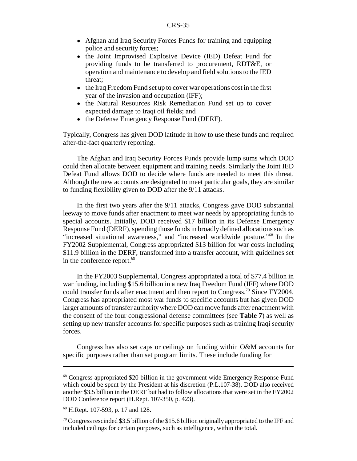- ! Afghan and Iraq Security Forces Funds for training and equipping police and security forces;
- the Joint Improvised Explosive Device (IED) Defeat Fund for providing funds to be transferred to procurement, RDT&E, or operation and maintenance to develop and field solutions to the IED threat;
- the Iraq Freedom Fund set up to cover war operations cost in the first year of the invasion and occupation (IFF);
- the Natural Resources Risk Remediation Fund set up to cover expected damage to Iraqi oil fields; and
- the Defense Emergency Response Fund (DERF).

Typically, Congress has given DOD latitude in how to use these funds and required after-the-fact quarterly reporting.

The Afghan and Iraq Security Forces Funds provide lump sums which DOD could then allocate between equipment and training needs. Similarly the Joint IED Defeat Fund allows DOD to decide where funds are needed to meet this threat. Although the new accounts are designated to meet particular goals, they are similar to funding flexibility given to DOD after the 9/11 attacks.

In the first two years after the 9/11 attacks, Congress gave DOD substantial leeway to move funds after enactment to meet war needs by appropriating funds to special accounts. Initially, DOD received \$17 billion in its Defense Emergency Response Fund (DERF), spending those funds in broadly defined allocations such as "increased situational awareness," and "increased worldwide posture."68 In the FY2002 Supplemental, Congress appropriated \$13 billion for war costs including \$11.9 billion in the DERF, transformed into a transfer account, with guidelines set in the conference report. $69$ 

In the FY2003 Supplemental, Congress appropriated a total of \$77.4 billion in war funding, including \$15.6 billion in a new Iraq Freedom Fund (IFF) where DOD could transfer funds after enactment and then report to Congress.<sup>70</sup> Since FY2004, Congress has appropriated most war funds to specific accounts but has given DOD larger amounts of transfer authority where DOD can move funds after enactment with the consent of the four congressional defense committees (see **Table 7**) as well as setting up new transfer accounts for specific purposes such as training Iraqi security forces.

Congress has also set caps or ceilings on funding within O&M accounts for specific purposes rather than set program limits. These include funding for

<sup>68</sup> Congress appropriated \$20 billion in the government-wide Emergency Response Fund which could be spent by the President at his discretion (P.L.107-38). DOD also received another \$3.5 billion in the DERF but had to follow allocations that were set in the FY2002 DOD Conference report (H.Rept. 107-350, p. 423).

<sup>69</sup> H.Rept. 107-593, p. 17 and 128.

<sup>&</sup>lt;sup>70</sup> Congress rescinded \$3.5 billion of the \$15.6 billion originally appropriated to the IFF and included ceilings for certain purposes, such as intelligence, within the total.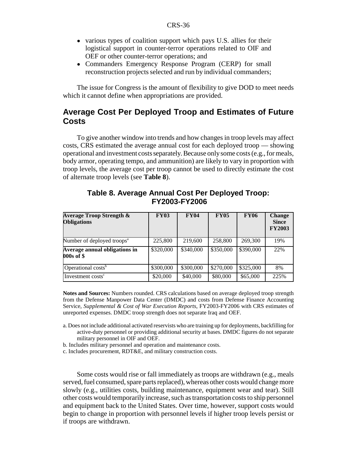- various types of coalition support which pays U.S. allies for their logistical support in counter-terror operations related to OIF and OEF or other counter-terror operations; and
- ! Commanders Emergency Response Program (CERP) for small reconstruction projects selected and run by individual commanders;

The issue for Congress is the amount of flexibility to give DOD to meet needs which it cannot define when appropriations are provided.

# **Average Cost Per Deployed Troop and Estimates of Future Costs**

To give another window into trends and how changes in troop levels may affect costs, CRS estimated the average annual cost for each deployed troop — showing operational and investment costs separately. Because only some costs (e.g., for meals, body armor, operating tempo, and ammunition) are likely to vary in proportion with troop levels, the average cost per troop cannot be used to directly estimate the cost of alternate troop levels (see **Table 8**).

| <b>Average Troop Strength &amp;</b><br><b>Obligations</b> | <b>FY03</b> | <b>FY04</b> | <b>FY05</b> | <b>FY06</b> | <b>Change</b><br><b>Since</b><br><b>FY2003</b> |
|-----------------------------------------------------------|-------------|-------------|-------------|-------------|------------------------------------------------|
| Number of deployed troops <sup>a</sup>                    | 225,800     | 219,600     | 258,800     | 269,300     | 19%                                            |
| Average annual obligations in<br>000s of \$               | \$320,000   | \$340,000   | \$350,000   | \$390,000   | 22%                                            |
| Operational costs <sup>b</sup>                            | \$300,000   | \$300,000   | \$270,000   | \$325,000   | 8%                                             |
| Investment costs <sup>c</sup>                             | \$20,000    | \$40,000    | \$80,000    | \$65,000    | 225%                                           |

# **Table 8. Average Annual Cost Per Deployed Troop: FY2003-FY2006**

**Notes and Sources:** Numbers rounded. CRS calculations based on average deployed troop strength from the Defense Manpower Data Center (DMDC) and costs from Defense Finance Accounting Service, *Supplemental & Cost of War Execution Reports*, FY2003-FY2006 with CRS estimates of unreported expenses. DMDC troop strength does not separate Iraq and OEF.

- a. Does not include additional activated reservists who are training up for deployments, backfilling for active-duty personnel or providing additional security at bases. DMDC figures do not separate military personnel in OIF and OEF.
- b. Includes military personnel and operation and maintenance costs.
- c. Includes procurement, RDT&E, and military construction costs.

Some costs would rise or fall immediately as troops are withdrawn (e.g., meals served, fuel consumed, spare parts replaced), whereas other costs would change more slowly (e.g., utilities costs, building maintenance, equipment wear and tear). Still other costs would temporarily increase, such as transportation costs to ship personnel and equipment back to the United States. Over time, however, support costs would begin to change in proportion with personnel levels if higher troop levels persist or if troops are withdrawn.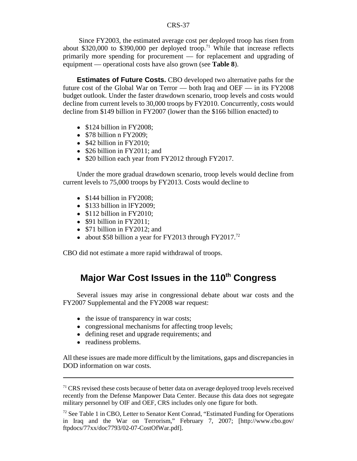Since FY2003, the estimated average cost per deployed troop has risen from about \$320,000 to \$390,000 per deployed troop.<sup>71</sup> While that increase reflects primarily more spending for procurement — for replacement and upgrading of equipment — operational costs have also grown (see **Table 8**).

**Estimates of Future Costs.** CBO developed two alternative paths for the future cost of the Global War on Terror — both Iraq and OEF — in its FY2008 budget outlook. Under the faster drawdown scenario, troop levels and costs would decline from current levels to 30,000 troops by FY2010. Concurrently, costs would decline from \$149 billion in FY2007 (lower than the \$166 billion enacted) to

- $\bullet$  \$124 billion in FY2008;
- $\bullet$  \$78 billion n FY2009;
- $\bullet$  \$42 billion in FY2010;
- \$26 billion in FY2011; and
- \$20 billion each year from FY2012 through FY2017.

Under the more gradual drawdown scenario, troop levels would decline from current levels to 75,000 troops by FY2013. Costs would decline to

- $\bullet$  \$144 billion in FY2008;
- $\bullet$  \$133 billion in lFY2009;
- $\bullet$  \$112 billion in FY2010;
- $\bullet$  \$91 billion in FY2011;
- $$71$  billion in FY2012; and
- about \$58 billion a year for FY2013 through FY2017.<sup>72</sup>

CBO did not estimate a more rapid withdrawal of troops.

# **Major War Cost Issues in the 110<sup>th</sup> Congress**

Several issues may arise in congressional debate about war costs and the FY2007 Supplemental and the FY2008 war request:

- the issue of transparency in war costs;
- congressional mechanisms for affecting troop levels;
- ! defining reset and upgrade requirements; and
- readiness problems.

All these issues are made more difficult by the limitations, gaps and discrepancies in DOD information on war costs.

 $71$  CRS revised these costs because of better data on average deployed troop levels received recently from the Defense Manpower Data Center. Because this data does not segregate military personnel by OIF and OEF, CRS includes only one figure for both.

 $72$  See Table 1 in CBO, Letter to Senator Kent Conrad, "Estimated Funding for Operations" in Iraq and the War on Terrorism," February 7, 2007; [http://www.cbo.gov/ ftpdocs/77xx/doc7793/02-07-CostOfWar.pdf].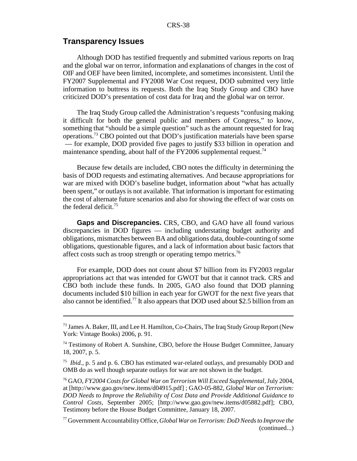#### **Transparency Issues**

Although DOD has testified frequently and submitted various reports on Iraq and the global war on terror, information and explanations of changes in the cost of OIF and OEF have been limited, incomplete, and sometimes inconsistent. Until the FY2007 Supplemental and FY2008 War Cost request, DOD submitted very little information to buttress its requests. Both the Iraq Study Group and CBO have criticized DOD's presentation of cost data for Iraq and the global war on terror.

The Iraq Study Group called the Administration's requests "confusing making it difficult for both the general public and members of Congress," to know, something that "should be a simple question" such as the amount requested for Iraq operations.73 CBO pointed out that DOD's justification materials have been sparse — for example, DOD provided five pages to justify \$33 billion in operation and maintenance spending, about half of the FY2006 supplemental request.<sup>74</sup>

Because few details are included, CBO notes the difficulty in determining the basis of DOD requests and estimating alternatives. And because appropriations for war are mixed with DOD's baseline budget, information about "what has actually been spent," or outlays is not available. That information is important for estimating the cost of alternate future scenarios and also for showing the effect of war costs on the federal deficit.<sup>75</sup>

**Gaps and Discrepancies.** CRS, CBO, and GAO have all found various discrepancies in DOD figures — including understating budget authority and obligations, mismatches between BA and obligations data, double-counting of some obligations, questionable figures, and a lack of information about basic factors that affect costs such as troop strength or operating tempo metrics.<sup>76</sup>

For example, DOD does not count about \$7 billion from its FY2003 regular appropriations act that was intended for GWOT but that it cannot track. CRS and CBO both include these funds. In 2005, GAO also found that DOD planning documents included \$10 billion in each year for GWOT for the next five years that also cannot be identified.<sup>77</sup> It also appears that DOD used about \$2.5 billion from an

<sup>&</sup>lt;sup>73</sup> James A. Baker, III, and Lee H. Hamilton, Co-Chairs, The Iraq Study Group Report (New York: Vintage Books) 2006, p. 91.

<sup>&</sup>lt;sup>74</sup> Testimony of Robert A. Sunshine, CBO, before the House Budget Committee, January 18, 2007, p. 5.

<sup>75</sup> *Ibid.*, p. 5 and p. 6. CBO has estimated war-related outlays, and presumably DOD and OMB do as well though separate outlays for war are not shown in the budget.

<sup>76</sup> GAO, *FY2004 Costs for Global War on Terrorism Will Exceed Supplemental*, July 2004, at [http://www.gao.gov/new.items/d04915.pdf] ; GAO-05-882, *Global War on Terrorism: DOD Needs to Improve the Reliability of Cost Data and Provide Additional Guidance to Control Costs*, September 2005; [http://www.gao.gov/new.items/d05882.pdf]; CBO, Testimony before the House Budget Committee, January 18, 2007.

<sup>77</sup> Government Accountability Office, *Global War on Terrorism: DoD Needs to Improve the* (continued...)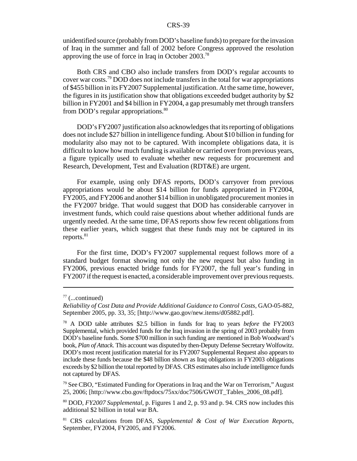unidentified source (probably from DOD's baseline funds) to prepare for the invasion of Iraq in the summer and fall of 2002 before Congress approved the resolution approving the use of force in Iraq in October 2003.<sup>78</sup>

Both CRS and CBO also include transfers from DOD's regular accounts to cover war costs.79 DOD does not include transfers in the total for war appropriations of \$455 billion in its FY2007 Supplemental justification. At the same time, however, the figures in its justification show that obligations exceeded budget authority by \$2 billion in FY2001 and \$4 billion in FY2004, a gap presumably met through transfers from DOD's regular appropriations.<sup>80</sup>

DOD's FY2007 justification also acknowledges that its reporting of obligations does not include \$27 billion in intelligence funding. About \$10 billion in funding for modularity also may not to be captured. With incomplete obligations data, it is difficult to know how much funding is available or carried over from previous years, a figure typically used to evaluate whether new requests for procurement and Research, Development, Test and Evaluation (RDT&E) are urgent.

For example, using only DFAS reports, DOD's carryover from previous appropriations would be about \$14 billion for funds appropriated in FY2004, FY2005, and FY2006 and another \$14 billion in unobligated procurement monies in the FY2007 bridge. That would suggest that DOD has considerable carryover in investment funds, which could raise questions about whether additional funds are urgently needed. At the same time, DFAS reports show few recent obligations from these earlier years, which suggest that these funds may not be captured in its reports. $81$ 

For the first time, DOD's FY2007 supplemental request follows more of a standard budget format showing not only the new request but also funding in FY2006, previous enacted bridge funds for FY2007, the full year's funding in FY2007 if the request is enacted, a considerable improvement over previous requests.

 $77$  (...continued)

*Reliability of Cost Data and Provide Additional Guidance to Control Costs,* GAO-05-882, September 2005, pp. 33, 35; [http://www.gao.gov/new.items/d05882.pdf].

<sup>78</sup> A DOD table attributes \$2.5 billion in funds for Iraq to years *before* the FY2003 Supplemental, which provided funds for the Iraq invasion in the spring of 2003 probably from DOD's baseline funds. Some \$700 million in such funding are mentioned in Bob Woodward's book, *Plan of Attack*. This account was disputed by then-Deputy Defense Secretary Wolfowitz. DOD's most recent justification material for its FY2007 Supplemental Request also appears to include these funds because the \$48 billion shown as Iraq obligations in FY2003 obligations exceeds by \$2 billion the total reported by DFAS. CRS estimates also include intelligence funds not captured by DFAS.

 $79$  See CBO, "Estimated Funding for Operations in Iraq and the War on Terrorism," August 25, 2006; [http://www.cbo.gov/ftpdocs/75xx/doc7506/GWOT\_Tables\_2006\_08.pdf].

<sup>80</sup> DOD, *FY2007 Supplemental*, p. Figures 1 and 2, p. 93 and p. 94. CRS now includes this additional \$2 billion in total war BA.

<sup>81</sup> CRS calculations from DFAS, *Supplemental & Cost of War Execution Reports*, September, FY2004, FY2005, and FY2006.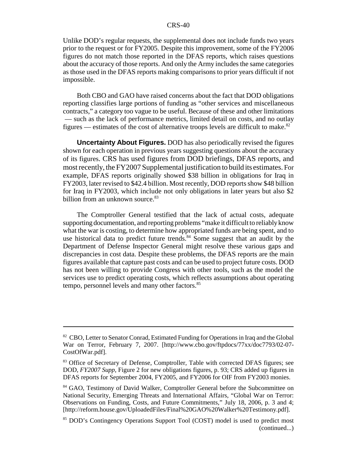Unlike DOD's regular requests, the supplemental does not include funds two years prior to the request or for FY2005. Despite this improvement, some of the FY2006 figures do not match those reported in the DFAS reports, which raises questions about the accuracy of those reports. And only the Army includes the same categories as those used in the DFAS reports making comparisons to prior years difficult if not impossible.

Both CBO and GAO have raised concerns about the fact that DOD obligations reporting classifies large portions of funding as "other services and miscellaneous contracts," a category too vague to be useful. Because of these and other limitations — such as the lack of performance metrics, limited detail on costs, and no outlay figures — estimates of the cost of alternative troops levels are difficult to make.<sup>82</sup>

**Uncertainty About Figures.** DOD has also periodically revised the figures shown for each operation in previous years suggesting questions about the accuracy of its figures. CRS has used figures from DOD briefings, DFAS reports, and most recently, the FY2007 Supplemental justification to build its estimates. For example, DFAS reports originally showed \$38 billion in obligations for Iraq in FY2003, later revised to \$42.4 billion. Most recently, DOD reports show \$48 billion for Iraq in FY2003, which include not only obligations in later years but also \$2 billion from an unknown source.<sup>83</sup>

The Comptroller General testified that the lack of actual costs, adequate supporting documentation, and reporting problems "make it difficult to reliably know what the war is costing, to determine how appropriated funds are being spent, and to use historical data to predict future trends. $84$  Some suggest that an audit by the Department of Defense Inspector General might resolve these various gaps and discrepancies in cost data. Despite these problems, the DFAS reports are the main figures available that capture past costs and can be used to project future costs. DOD has not been willing to provide Congress with other tools, such as the model the services use to predict operating costs, which reflects assumptions about operating tempo, personnel levels and many other factors.<sup>85</sup>

<sup>&</sup>lt;sup>82</sup> CBO, Letter to Senator Conrad, Estimated Funding for Operations in Iraq and the Global War on Terror, February 7, 2007. [http://www.cbo.gov/ftpdocs/77xx/doc7793/02-07- CostOfWar.pdf].

<sup>83</sup> Office of Secretary of Defense, Comptroller, Table with corrected DFAS figures; see DOD, *FY2007 Supp*, Figure 2 for new obligations figures, p. 93; CRS added up figures in DFAS reports for September 2004, FY2005, and FY2006 for OIF from FY2003 monies.

<sup>&</sup>lt;sup>84</sup> GAO, Testimony of David Walker, Comptroller General before the Subcommittee on National Security, Emerging Threats and International Affairs, "Global War on Terror: Observations on Funding, Costs, and Future Commitments," July 18, 2006, p. 3 and 4; [http://reform.house.gov/UploadedFiles/Final%20GAO%20Walker%20Testimony.pdf].

<sup>85</sup> DOD's Contingency Operations Support Tool (COST) model is used to predict most (continued...)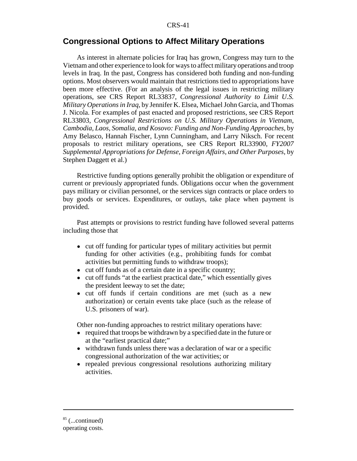# **Congressional Options to Affect Military Operations**

As interest in alternate policies for Iraq has grown, Congress may turn to the Vietnam and other experience to look for ways to affect military operations and troop levels in Iraq. In the past, Congress has considered both funding and non-funding options. Most observers would maintain that restrictions tied to appropriations have been more effective. (For an analysis of the legal issues in restricting military operations, see CRS Report RL33837, *Congressional Authority to Limit U.S. Military Operations in Iraq*, by Jennifer K. Elsea, Michael John Garcia, and Thomas J. Nicola. For examples of past enacted and proposed restrictions, see CRS Report RL33803, *Congressional Restrictions on U.S. Military Operations in Vietnam, Cambodia, Laos, Somalia, and Kosovo: Funding and Non-Funding Approaches*, by Amy Belasco, Hannah Fischer, Lynn Cunningham, and Larry Niksch. For recent proposals to restrict military operations, see CRS Report RL33900, *FY2007 Supplemental Appropriations for Defense, Foreign Affairs, and Other Purposes*, by Stephen Daggett et al.)

Restrictive funding options generally prohibit the obligation or expenditure of current or previously appropriated funds. Obligations occur when the government pays military or civilian personnel, or the services sign contracts or place orders to buy goods or services. Expenditures, or outlays, take place when payment is provided.

Past attempts or provisions to restrict funding have followed several patterns including those that

- ! cut off funding for particular types of military activities but permit funding for other activities (e.g., prohibiting funds for combat activities but permitting funds to withdraw troops);
- cut off funds as of a certain date in a specific country;
- cut off funds "at the earliest practical date," which essentially gives the president leeway to set the date;
- cut off funds if certain conditions are met (such as a new authorization) or certain events take place (such as the release of U.S. prisoners of war).

Other non-funding approaches to restrict military operations have:

- required that troops be withdrawn by a specified date in the future or at the "earliest practical date;"
- withdrawn funds unless there was a declaration of war or a specific congressional authorization of the war activities; or
- repealed previous congressional resolutions authorizing military activities.

 $85$  (...continued)

operating costs.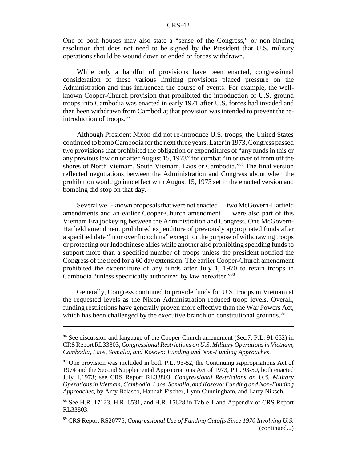One or both houses may also state a "sense of the Congress," or non-binding resolution that does not need to be signed by the President that U.S. military operations should be wound down or ended or forces withdrawn.

While only a handful of provisions have been enacted, congressional consideration of these various limiting provisions placed pressure on the Administration and thus influenced the course of events. For example, the wellknown Cooper-Church provision that prohibited the introduction of U.S. ground troops into Cambodia was enacted in early 1971 after U.S. forces had invaded and then been withdrawn from Cambodia; that provision was intended to prevent the reintroduction of troops.86

Although President Nixon did not re-introduce U.S. troops, the United States continued to bomb Cambodia for the next three years. Later in 1973, Congress passed two provisions that prohibited the obligation or expenditures of "any funds in this or any previous law on or after August 15, 1973" for combat "in or over of from off the shores of North Vietnam, South Vietnam, Laos or Cambodia."87 The final version reflected negotiations between the Administration and Congress about when the prohibition would go into effect with August 15, 1973 set in the enacted version and bombing did stop on that day.

Several well-known proposals that were not enacted — two McGovern-Hatfield amendments and an earlier Cooper-Church amendment — were also part of this Vietnam Era jockeying between the Administration and Congress. One McGovern-Hatfield amendment prohibited expenditure of previously appropriated funds after a specified date "in or over Indochina" except for the purpose of withdrawing troops or protecting our Indochinese allies while another also prohibiting spending funds to support more than a specified number of troops unless the president notified the Congress of the need for a 60 day extension. The earlier Cooper-Church amendment prohibited the expenditure of any funds after July 1, 1970 to retain troops in Cambodia "unless specifically authorized by law hereafter."88

Generally, Congress continued to provide funds for U.S. troops in Vietnam at the requested levels as the Nixon Administration reduced troop levels. Overall, funding restrictions have generally proven more effective than the War Powers Act, which has been challenged by the executive branch on constitutional grounds.<sup>89</sup>

<sup>&</sup>lt;sup>86</sup> See discussion and language of the Cooper-Church amendment (Sec.7, P.L. 91-652) in CRS Report RL33803, *Congressional Restrictions on U.S. Military Operations in Vietnam, Cambodia, Laos, Somalia, and Kosovo: Funding and Non-Funding Approaches*.

<sup>&</sup>lt;sup>87</sup> One provision was included in both P.L. 93-52, the Continuing Appropriations Act of 1974 and the Second Supplemental Appropriations Act of 1973, P.L. 93-50, both enacted July 1,1973; see CRS Report RL33803, *Congressional Restrictions on U.S. Military Operations in Vietnam, Cambodia, Laos, Somalia, and Kosovo: Funding and Non-Funding Approaches*, by Amy Belasco, Hannah Fischer, Lynn Cunningham, and Larry Niksch.

<sup>88</sup> See H.R. 17123, H.R. 6531, and H.R. 15628 in Table 1 and Appendix of CRS Report RL33803.

<sup>89</sup> CRS Report RS20775, *Congressional Use of Funding Cutoffs Since 1970 Involving U.S.* (continued...)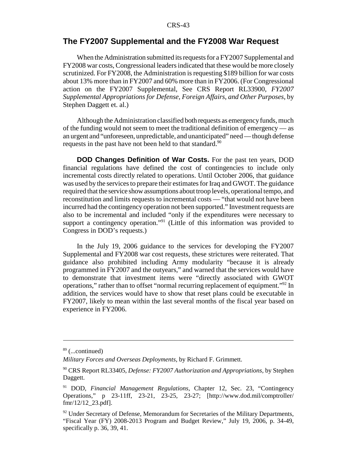# **The FY2007 Supplemental and the FY2008 War Request**

When the Administration submitted its requests for a FY2007 Supplemental and FY2008 war costs, Congressional leaders indicated that these would be more closely scrutinized. For FY2008, the Administration is requesting \$189 billion for war costs about 13% more than in FY2007 and 60% more than in FY2006. (For Congressional action on the FY2007 Supplemental, See CRS Report RL33900, *FY2007 Supplemental Appropriations for Defense, Foreign Affairs, and Other Purposes*, by Stephen Daggett et. al.)

Although the Administration classified both requests as emergency funds, much of the funding would not seem to meet the traditional definition of emergency — as an urgent and "unforeseen, unpredictable, and unanticipated" need — though defense requests in the past have not been held to that standard.<sup>90</sup>

**DOD Changes Definition of War Costs.** For the past ten years, DOD financial regulations have defined the cost of contingencies to include only incremental costs directly related to operations. Until October 2006, that guidance was used by the services to prepare their estimates for Iraq and GWOT. The guidance required that the service show assumptions about troop levels, operational tempo, and reconstitution and limits requests to incremental costs — "that would not have been incurred had the contingency operation not been supported." Investment requests are also to be incremental and included "only if the expenditures were necessary to support a contingency operation."<sup>91</sup> (Little of this information was provided to Congress in DOD's requests.)

In the July 19, 2006 guidance to the services for developing the FY2007 Supplemental and FY2008 war cost requests, these strictures were reiterated. That guidance also prohibited including Army modularity "because it is already programmed in FY2007 and the outyears," and warned that the services would have to demonstrate that investment items were "directly associated with GWOT operations," rather than to offset "normal recurring replacement of equipment."92 In addition, the services would have to show that reset plans could be executable in FY2007, likely to mean within the last several months of the fiscal year based on experience in FY2006.

 $89$  (...continued)

*Military Forces and Overseas Deployments*, by Richard F. Grimmett.

<sup>90</sup> CRS Report RL33405, *Defense: FY2007 Authorization and Appropriations,* by Stephen Daggett.

<sup>91</sup> DOD, *Financial Management Regulations*, Chapter 12, Sec. 23, "Contingency Operations," p 23-11ff, 23-21, 23-25, 23-27; [http://www.dod.mil/comptroller/ fmr/12/12\_23.pdf].

 $92$  Under Secretary of Defense, Memorandum for Secretaries of the Military Departments, "Fiscal Year (FY) 2008-2013 Program and Budget Review," July 19, 2006, p. 34-49, specifically p. 36, 39, 41.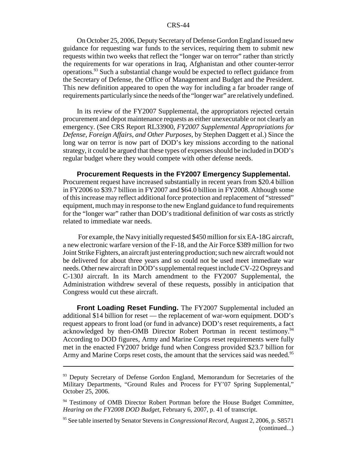On October 25, 2006, Deputy Secretary of Defense Gordon England issued new guidance for requesting war funds to the services, requiring them to submit new requests within two weeks that reflect the "longer war on terror" rather than strictly the requirements for war operations in Iraq, Afghanistan and other counter-terror operations.93 Such a substantial change would be expected to reflect guidance from the Secretary of Defense, the Office of Management and Budget and the President. This new definition appeared to open the way for including a far broader range of requirements particularly since the needs of the "longer war" are relatively undefined.

In its review of the FY2007 Supplemental, the appropriators rejected certain procurement and depot maintenance requests as either unexecutable or not clearly an emergency. (See CRS Report RL33900, *FY2007 Supplemental Appropriations for Defense, Foreign Affairs, and Other Purposes*, by Stephen Daggett et al.) Since the long war on terror is now part of DOD's key missions according to the national strategy, it could be argued that these types of expenses should be included in DOD's regular budget where they would compete with other defense needs.

**Procurement Requests in the FY2007 Emergency Supplemental.** Procurement request have increased substantially in recent years from \$20.4 billion in FY2006 to \$39.7 billion in FY2007 and \$64.0 billion in FY2008. Although some of this increase may reflect additional force protection and replacement of "stressed" equipment, much may in response to the new England guidance to fund requirements for the "longer war" rather than DOD's traditional definition of war costs as strictly related to immediate war needs.

 For example, the Navy initially requested \$450 million for six EA-18G aircraft, a new electronic warfare version of the F-18, and the Air Force \$389 million for two Joint Strike Fighters, an aircraft just entering production; such new aircraft would not be delivered for about three years and so could not be used meet immediate war needs. Other new aircraft in DOD's supplemental request include CV-22 Ospreys and C-130J aircraft. In its March amendment to the FY2007 Supplemental, the Administration withdrew several of these requests, possibly in anticipation that Congress would cut these aircraft.

**Front Loading Reset Funding.** The FY2007 Supplemental included an additional \$14 billion for reset — the replacement of war-worn equipment. DOD's request appears to front load (or fund in advance) DOD's reset requirements, a fact acknowledged by then-OMB Director Robert Portman in recent testimony.<sup>94</sup> According to DOD figures, Army and Marine Corps reset requirements were fully met in the enacted FY2007 bridge fund when Congress provided \$23.7 billion for Army and Marine Corps reset costs, the amount that the services said was needed.<sup>95</sup>

<sup>&</sup>lt;sup>93</sup> Deputy Secretary of Defense Gordon England, Memorandum for Secretaries of the Military Departments, "Ground Rules and Process for FY'07 Spring Supplemental," October 25, 2006.

<sup>&</sup>lt;sup>94</sup> Testimony of OMB Director Robert Portman before the House Budget Committee, *Hearing on the FY2008 DOD Budget*, February 6, 2007, p. 41 of transcript.

<sup>95</sup> See table inserted by Senator Stevens in *Congressional Record*, August 2, 2006, p. S8571 (continued...)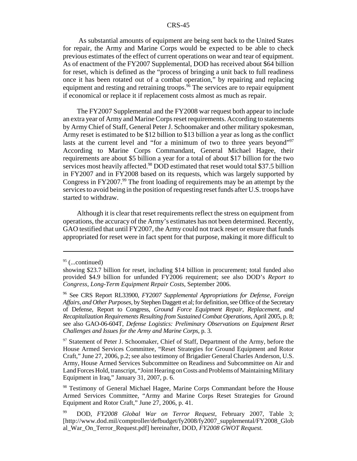As substantial amounts of equipment are being sent back to the United States for repair, the Army and Marine Corps would be expected to be able to check previous estimates of the effect of current operations on wear and tear of equipment. As of enactment of the FY2007 Supplemental, DOD has received about \$64 billion for reset, which is defined as the "process of bringing a unit back to full readiness once it has been rotated out of a combat operation," by repairing and replacing equipment and resting and retraining troops.<sup>96</sup> The services are to repair equipment if economical or replace it if replacement costs almost as much as repair.

The FY2007 Supplemental and the FY2008 war request both appear to include an extra year of Army and Marine Corps reset requirements. According to statements by Army Chief of Staff, General Peter J. Schoomaker and other military spokesman, Army reset is estimated to be \$12 billion to \$13 billion a year as long as the conflict lasts at the current level and "for a minimum of two to three years beyond"<sup>97</sup> According to Marine Corps Commandant, General Michael Hagee, their requirements are about \$5 billion a year for a total of about \$17 billion for the two services most heavily affected.<sup>98</sup> DOD estimated that reset would total \$37.5 billion in FY2007 and in FY2008 based on its requests, which was largely supported by Congress in FY2007.<sup>99</sup> The front loading of requirements may be an attempt by the services to avoid being in the position of requesting reset funds after U.S. troops have started to withdraw.

Although it is clear that reset requirements reflect the stress on equipment from operations, the accuracy of the Army's estimates has not been determined. Recently, GAO testified that until FY2007, the Army could not track reset or ensure that funds appropriated for reset were in fact spent for that purpose, making it more difficult to

 $95$  (...continued)

showing \$23.7 billion for reset, including \$14 billion in procurement; total funded also provided \$4.9 billion for unfunded FY2006 requirement; see also DOD's *Report to Congress, Long-Term Equipment Repair Costs*, September 2006.

<sup>96</sup> See CRS Report RL33900, *FY2007 Supplemental Appropriations for Defense, Foreign Affairs, and Other Purposes*, by Stephen Daggett et al; for definition, see Office of the Secretary of Defense, Report to Congress, *Ground Force Equipment Repair, Replacement, and Recapitalization Requirements Resulting from Sustained Combat Operations*, April 2005, p. 8; see also GAO-06-604T, *Defense Logistics: Preliminary Observations on Equipment Reset Challenges and Issues for the Army and Marine Corps*, p. 3.

<sup>&</sup>lt;sup>97</sup> Statement of Peter J. Schoomaker, Chief of Staff, Department of the Army, before the House Armed Services Committee, "Reset Strategies for Ground Equipment and Rotor Craft," June 27, 2006, p.2; see also testimony of Brigadier General Charles Anderson, U.S. Army, House Armed Services Subcommittee on Readiness and Subcommittee on Air and Land Forces Hold, transcript, "Joint Hearing on Costs and Problems of Maintaining Military Equipment in Iraq," January 31, 2007, p. 6.

<sup>98</sup> Testimony of General Michael Hagee, Marine Corps Commandant before the House Armed Services Committee, "Army and Marine Corps Reset Strategies for Ground Equipment and Rotor Craft," June 27, 2006, p. 41.

<sup>99</sup> DOD, *FY2008 Global War on Terror Request*, February 2007, Table 3; [http://www.dod.mil/comptroller/defbudget/fy2008/fy2007\_supplemental/FY2008\_Glob al\_War\_On\_Terror\_Request.pdf] hereinafter, DOD, *FY2008 GWOT Request.*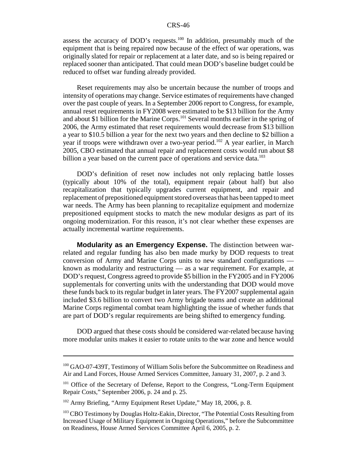assess the accuracy of DOD's requests.<sup>100</sup> In addition, presumably much of the equipment that is being repaired now because of the effect of war operations, was originally slated for repair or replacement at a later date, and so is being repaired or replaced sooner than anticipated. That could mean DOD's baseline budget could be reduced to offset war funding already provided.

Reset requirements may also be uncertain because the number of troops and intensity of operations may change. Service estimates of requirements have changed over the past couple of years. In a September 2006 report to Congress, for example, annual reset requirements in FY2008 were estimated to be \$13 billion for the Army and about \$1 billion for the Marine Corps.<sup>101</sup> Several months earlier in the spring of 2006, the Army estimated that reset requirements would decrease from \$13 billion a year to \$10.5 billion a year for the next two years and then decline to \$2 billion a year if troops were withdrawn over a two-year period.<sup>102</sup> A year earlier, in March 2005, CBO estimated that annual repair and replacement costs would run about \$8 billion a year based on the current pace of operations and service data.<sup>103</sup>

DOD's definition of reset now includes not only replacing battle losses (typically about 10% of the total), equipment repair (about half) but also recapitalization that typically upgrades current equipment, and repair and replacement of prepositioned equipment stored overseas that has been tapped to meet war needs. The Army has been planning to recapitalize equipment and modernize prepositioned equipment stocks to match the new modular designs as part of its ongoing modernization. For this reason, it's not clear whether these expenses are actually incremental wartime requirements.

**Modularity as an Emergency Expense.** The distinction between warrelated and regular funding has also ben made murky by DOD requests to treat conversion of Army and Marine Corps units to new standard configurations known as modularity and restructuring — as a war requirement. For example, at DOD's request, Congress agreed to provide \$5 billion in the FY2005 and in FY2006 supplementals for converting units with the understanding that DOD would move these funds back to its regular budget in later years. The FY2007 supplemental again included \$3.6 billion to convert two Army brigade teams and create an additional Marine Corps regimental combat team highlighting the issue of whether funds that are part of DOD's regular requirements are being shifted to emergency funding.

DOD argued that these costs should be considered war-related because having more modular units makes it easier to rotate units to the war zone and hence would

<sup>&</sup>lt;sup>100</sup> GAO-07-439T, Testimony of William Solis before the Subcommittee on Readiness and Air and Land Forces, House Armed Services Committee, January 31, 2007, p. 2 and 3.

<sup>&</sup>lt;sup>101</sup> Office of the Secretary of Defense, Report to the Congress, "Long-Term Equipment" Repair Costs," September 2006, p. 24 and p. 25.

<sup>&</sup>lt;sup>102</sup> Army Briefing, "Army Equipment Reset Update," May 18, 2006, p. 8.

<sup>&</sup>lt;sup>103</sup> CBO Testimony by Douglas Holtz-Eakin, Director, "The Potential Costs Resulting from Increased Usage of Military Equipment in Ongoing Operations," before the Subcommittee on Readiness, House Armed Services Committee April 6, 2005, p. 2.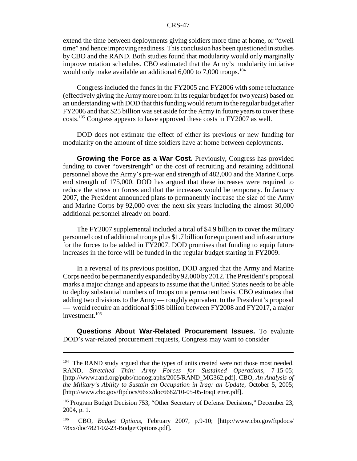extend the time between deployments giving soldiers more time at home, or "dwell time" and hence improving readiness. This conclusion has been questioned in studies by CBO and the RAND. Both studies found that modularity would only marginally improve rotation schedules. CBO estimated that the Army's modularity initiative would only make available an additional  $6,000$  to  $7,000$  troops.<sup>104</sup>

Congress included the funds in the FY2005 and FY2006 with some reluctance (effectively giving the Army more room in its regular budget for two years) based on an understanding with DOD that this funding would return to the regular budget after FY2006 and that \$25 billion was set aside for the Army in future years to cover these costs.105 Congress appears to have approved these costs in FY2007 as well.

DOD does not estimate the effect of either its previous or new funding for modularity on the amount of time soldiers have at home between deployments.

**Growing the Force as a War Cost.** Previously, Congress has provided funding to cover "overstrength" or the cost of recruiting and retaining additional personnel above the Army's pre-war end strength of 482,000 and the Marine Corps end strength of 175,000. DOD has argued that these increases were required to reduce the stress on forces and that the increases would be temporary. In January 2007, the President announced plans to permanently increase the size of the Army and Marine Corps by 92,000 over the next six years including the almost 30,000 additional personnel already on board.

The FY2007 supplemental included a total of \$4.9 billion to cover the military personnel cost of additional troops plus \$1.7 billion for equipment and infrastructure for the forces to be added in FY2007. DOD promises that funding to equip future increases in the force will be funded in the regular budget starting in FY2009.

In a reversal of its previous position, DOD argued that the Army and Marine Corps need to be permanently expanded by 92,000 by 2012. The President's proposal marks a major change and appears to assume that the United States needs to be able to deploy substantial numbers of troops on a permanent basis. CBO estimates that adding two divisions to the Army — roughly equivalent to the President's proposal — would require an additional \$108 billion between FY2008 and FY2017, a major investment.106

**Questions About War-Related Procurement Issues.** To evaluate DOD's war-related procurement requests, Congress may want to consider

<sup>&</sup>lt;sup>104</sup> The RAND study argued that the types of units created were not those most needed. RAND, *Stretched Thin: Army Forces for Sustained Operations*, 7-15-05; [http://www.rand.org/pubs/monographs/2005/RAND\_MG362.pdf]. CBO, *An Analysis of the Military's Ability to Sustain an Occupation in Iraq: an Update*, October 5, 2005; [http://www.cbo.gov/ftpdocs/66xx/doc6682/10-05-05-IraqLetter.pdf].

<sup>&</sup>lt;sup>105</sup> Program Budget Decision 753, "Other Secretary of Defense Decisions," December 23, 2004, p. 1.

<sup>106</sup> CBO, *Budget Options*, February 2007, p.9-10; [http://www.cbo.gov/ftpdocs/ 78xx/doc7821/02-23-BudgetOptions.pdf].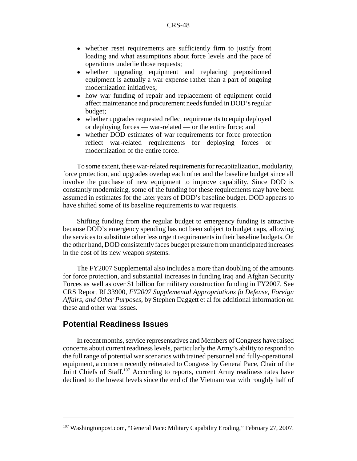- whether reset requirements are sufficiently firm to justify front loading and what assumptions about force levels and the pace of operations underlie those requests;
- ! whether upgrading equipment and replacing prepositioned equipment is actually a war expense rather than a part of ongoing modernization initiatives;
- how war funding of repair and replacement of equipment could affect maintenance and procurement needs funded in DOD's regular budget;
- whether upgrades requested reflect requirements to equip deployed or deploying forces — war-related — or the entire force; and
- whether DOD estimates of war requirements for force protection reflect war-related requirements for deploying forces or modernization of the entire force.

To some extent, these war-related requirements for recapitalization, modularity, force protection, and upgrades overlap each other and the baseline budget since all involve the purchase of new equipment to improve capability. Since DOD is constantly modernizing, some of the funding for these requirements may have been assumed in estimates for the later years of DOD's baseline budget. DOD appears to have shifted some of its baseline requirements to war requests.

Shifting funding from the regular budget to emergency funding is attractive because DOD's emergency spending has not been subject to budget caps, allowing the services to substitute other less urgent requirements in their baseline budgets. On the other hand, DOD consistently faces budget pressure from unanticipated increases in the cost of its new weapon systems.

The FY2007 Supplemental also includes a more than doubling of the amounts for force protection, and substantial increases in funding Iraq and Afghan Security Forces as well as over \$1 billion for military construction funding in FY2007. See CRS Report RL33900, *FY2007 Supplemental Appropriations fo Defense, Foreign Affairs, and Other Purposes*, by Stephen Daggett et al for additional information on these and other war issues.

# **Potential Readiness Issues**

In recent months, service representatives and Members of Congress have raised concerns about current readiness levels, particularly the Army's ability to respond to the full range of potential war scenarios with trained personnel and fully-operational equipment, a concern recently reiterated to Congress by General Pace, Chair of the Joint Chiefs of Staff.<sup>107</sup> According to reports, current Army readiness rates have declined to the lowest levels since the end of the Vietnam war with roughly half of

<sup>&</sup>lt;sup>107</sup> Washingtonpost.com, "General Pace: Military Capability Eroding," February 27, 2007.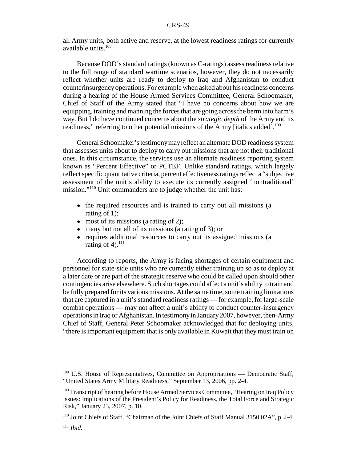all Army units, both active and reserve, at the lowest readiness ratings for currently available units.108

Because DOD's standard ratings (known as C-ratings) assess readiness relative to the full range of standard wartime scenarios, however, they do not necessarily reflect whether units are ready to deploy to Iraq and Afghanistan to conduct counterinsurgency operations. For example when asked about his readiness concerns during a hearing of the House Armed Services Committee, General Schoomaker, Chief of Staff of the Army stated that "I have no concerns about how we are equipping, training and manning the forces that are going across the berm into harm's way. But I do have continued concerns about the *strategic depth* of the Army and its readiness," referring to other potential missions of the Army [italics added].<sup>109</sup>

General Schoomaker's testimony may reflect an alternate DOD readiness system that assesses units about to deploy to carry out missions that are not their traditional ones. In this circumstance, the services use an alternate readiness reporting system known as "Percent Effective" or PCTEF. Unlike standard ratings, which largely reflect specific quantitative criteria, percent effectiveness ratings reflect a "subjective assessment of the unit's ability to execute its currently assigned 'nontraditional' mission."110 Unit commanders are to judge whether the unit has:

- the required resources and is trained to carry out all missions (a rating of 1);
- $\bullet$  most of its missions (a rating of 2);
- $\bullet$  many but not all of its missions (a rating of 3); or
- ! requires additional resources to carry out its assigned missions (a rating of 4). $^{111}$

According to reports, the Army is facing shortages of certain equipment and personnel for state-side units who are currently either training up so as to deploy at a later date or are part of the strategic reserve who could be called upon should other contingencies arise elsewhere. Such shortages could affect a unit's ability to train and be fully prepared for its various missions. At the same time, some training limitations that are captured in a unit's standard readiness ratings — for example, for large-scale combat operations — may not affect a unit's ability to conduct counter-insurgency operations in Iraq or Afghanistan. In testimony in January 2007, however, then-Army Chief of Staff, General Peter Schoomaker acknowledged that for deploying units, "there is important equipment that is only available in Kuwait that they must train on

<sup>&</sup>lt;sup>108</sup> U.S. House of Representatives, Committee on Appropriations — Democratic Staff, "United States Army Military Readiness," September 13, 2006, pp. 2-4.

<sup>&</sup>lt;sup>109</sup> Transcript of hearing before House Armed Services Committee, "Hearing on Iraq Policy Issues: Implications of the President's Policy for Readiness, the Total Force and Strategic Risk," January 23, 2007, p. 10.

<sup>110</sup> Joint Chiefs of Staff, "Chairman of the Joint Chiefs of Staff Manual 3150.02A", p. J-4.

<sup>111</sup> *Ibid*.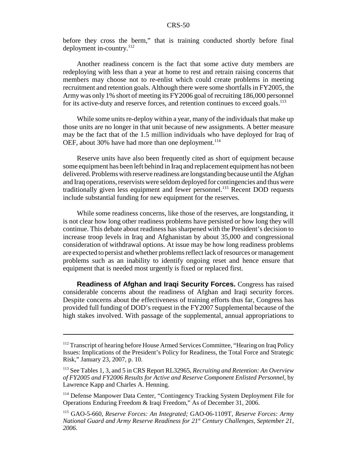before they cross the berm," that is training conducted shortly before final deployment in-country.<sup>112</sup>

Another readiness concern is the fact that some active duty members are redeploying with less than a year at home to rest and retrain raising concerns that members may choose not to re-enlist which could create problems in meeting recruitment and retention goals. Although there were some shortfalls in FY2005, the Army was only 1% short of meeting its FY2006 goal of recruiting 186,000 personnel for its active-duty and reserve forces, and retention continues to exceed goals.<sup>113</sup>

While some units re-deploy within a year, many of the individuals that make up those units are no longer in that unit because of new assignments. A better measure may be the fact that of the 1.5 million individuals who have deployed for Iraq of OEF, about 30% have had more than one deployment.<sup>114</sup>

Reserve units have also been frequently cited as short of equipment because some equipment has been left behind in Iraq and replacement equipment has not been delivered. Problems with reserve readiness are longstanding because until the Afghan and Iraq operations, reservists were seldom deployed for contingencies and thus were traditionally given less equipment and fewer personnel.<sup>115</sup> Recent DOD requests include substantial funding for new equipment for the reserves.

While some readiness concerns, like those of the reserves, are longstanding, it is not clear how long other readiness problems have persisted or how long they will continue. This debate about readiness has sharpened with the President's decision to increase troop levels in Iraq and Afghanistan by about 35,000 and congressional consideration of withdrawal options. At issue may be how long readiness problems are expected to persist and whether problems reflect lack of resources or management problems such as an inability to identify ongoing reset and hence ensure that equipment that is needed most urgently is fixed or replaced first.

**Readiness of Afghan and Iraqi Security Forces.** Congress has raised considerable concerns about the readiness of Afghan and Iraqi security forces. Despite concerns about the effectiveness of training efforts thus far, Congress has provided full funding of DOD's request in the FY2007 Supplemental because of the high stakes involved. With passage of the supplemental, annual appropriations to

<sup>&</sup>lt;sup>112</sup> Transcript of hearing before House Armed Services Committee, "Hearing on Iraq Policy Issues: Implications of the President's Policy for Readiness, the Total Force and Strategic Risk," January 23, 2007, p. 10.

<sup>113</sup> See Tables 1, 3, and 5 in CRS Report RL32965, *Recruiting and Retention: An Overview of FY2005 and FY2006 Results for Active and Reserve Component Enlisted Personnel*, by Lawrence Kapp and Charles A. Henning.

<sup>114</sup> Defense Manpower Data Center, "Contingency Tracking System Deployment File for Operations Enduring Freedom & Iraqi Freedom," As of December 31, 2006.

<sup>115</sup> GAO-5-660, *Reserve Forces: An Integrated;* GAO-06-1109T*, Reserve Forces: Army National Guard and Army Reserve Readiness for 21st Century Challenges, September 21, 2006.*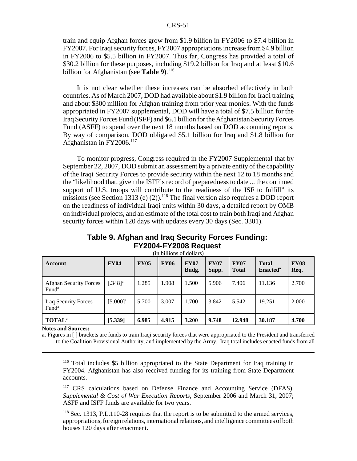train and equip Afghan forces grow from \$1.9 billion in FY2006 to \$7.4 billion in FY2007. For Iraqi security forces, FY2007 appropriations increase from \$4.9 billion in FY2006 to \$5.5 billion in FY2007. Thus far, Congress has provided a total of \$30.2 billion for these purposes, including \$19.2 billion for Iraq and at least \$10.6 billion for Afghanistan (see **Table 9**).<sup>116</sup>

It is not clear whether these increases can be absorbed effectively in both countries. As of March 2007, DOD had available about \$1.9 billion for Iraqi training and about \$300 million for Afghan training from prior year monies. With the funds appropriated in FY2007 supplemental, DOD will have a total of \$7.5 billion for the Iraq Security Forces Fund (ISFF) and \$6.1 billion for the Afghanistan Security Forces Fund (ASFF) to spend over the next 18 months based on DOD accounting reports. By way of comparison, DOD obligated \$5.1 billion for Iraq and \$1.8 billion for Afghanistan in FY2006.117

To monitor progress, Congress required in the FY2007 Supplemental that by September 22, 2007, DOD submit an assessment by a private entity of the capability of the Iraqi Security Forces to provide security within the next 12 to 18 months and the "likelihood that, given the ISFF's record of preparedness to date ... the continued support of U.S. troops will contribute to the readiness of the ISF to fulfill" its missions (see Section 1313 (e) (2)).<sup>118</sup> The final version also requires a DOD report on the readiness of individual Iraqi units within 30 days, a detailed report by OMB on individual projects, and an estimate of the total cost to train both Iraqi and Afghan security forces within 120 days with updates every 30 days (Sec. 3301).

### **Table 9. Afghan and Iraq Security Forces Funding: FY2004-FY2008 Request**

| Account                                            | <b>FY04</b>            | <b>FY05</b> | <b>FY06</b> | <b>FY07</b><br>Budg. | <b>FY07</b><br>Supp. | <b>FY07</b><br><b>Total</b> | <b>Total</b><br>Enacted <sup>a</sup> | <b>FY08</b><br>Req. |
|----------------------------------------------------|------------------------|-------------|-------------|----------------------|----------------------|-----------------------------|--------------------------------------|---------------------|
| <b>Afghan Security Forces</b><br>Fund <sup>a</sup> | $.348$ <sup>2</sup>    | 1.285       | 1.908       | 1.500                | 5.906                | 7.406                       | 11.136                               | 2.700               |
| Iraq Security Forces<br>Fund <sup>a</sup>          | $[5.000]$ <sup>a</sup> | 5.700       | 3.007       | 1.700                | 3.842                | 5.542                       | 19.251                               | 2.000               |
| <b>TOTAL</b> <sup>a</sup>                          | [5.339]                | 6.985       | 4.915       | 3.200                | 9.748                | 12.948                      | 30.187                               | 4.700               |

(in billions of dollars)

#### **Notes and Sources:**

a. Figures in [ ] brackets are funds to train Iraqi security forces that were appropriated to the President and transferred to the Coalition Provisional Authority, and implemented by the Army. Iraq total includes enacted funds from all

<sup>116</sup> Total includes \$5 billion appropriated to the State Department for Iraq training in FY2004. Afghanistan has also received funding for its training from State Department accounts.

<sup>117</sup> CRS calculations based on Defense Finance and Accounting Service (DFAS), *Supplemental & Cost of War Execution Reports*, September 2006 and March 31, 2007; ASFF and ISFF funds are available for two years.

<sup>118</sup> Sec. 1313, P.L.110-28 requires that the report is to be submitted to the armed services, appropriations, foreign relations, international relations, and intelligence committees of both houses 120 days after enactment.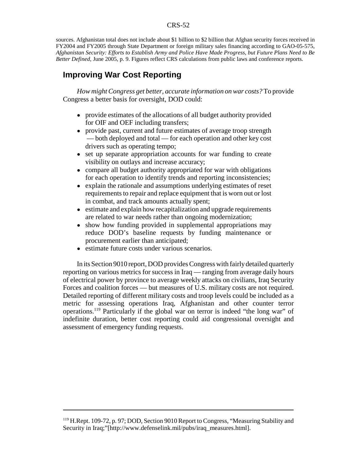sources. Afghanistan total does not include about \$1 billion to \$2 billion that Afghan security forces received in FY2004 and FY2005 through State Department or foreign military sales financing according to GAO-05-575, *Afghanistan Security: Efforts to Establish Army and Police Have Made Progress, but Future Plans Need to Be Better Defined*, June 2005, p. 9. Figures reflect CRS calculations from public laws and conference reports.

# **Improving War Cost Reporting**

*How might Congress get better, accurate information on war costs?* To provide Congress a better basis for oversight, DOD could:

- provide estimates of the allocations of all budget authority provided for OIF and OEF including transfers;
- provide past, current and future estimates of average troop strength — both deployed and total — for each operation and other key cost drivers such as operating tempo;
- ! set up separate appropriation accounts for war funding to create visibility on outlays and increase accuracy;
- ! compare all budget authority appropriated for war with obligations for each operation to identify trends and reporting inconsistencies;
- ! explain the rationale and assumptions underlying estimates of reset requirements to repair and replace equipment that is worn out or lost in combat, and track amounts actually spent;
- estimate and explain how recapitalization and upgrade requirements are related to war needs rather than ongoing modernization;
- show how funding provided in supplemental appropriations may reduce DOD's baseline requests by funding maintenance or procurement earlier than anticipated;
- estimate future costs under various scenarios.

In its Section 9010 report, DOD provides Congress with fairly detailed quarterly reporting on various metrics for success in Iraq — ranging from average daily hours of electrical power by province to average weekly attacks on civilians, Iraq Security Forces and coalition forces — but measures of U.S. military costs are not required. Detailed reporting of different military costs and troop levels could be included as a metric for assessing operations Iraq, Afghanistan and other counter terror operations.119 Particularly if the global war on terror is indeed "the long war" of indefinite duration, better cost reporting could aid congressional oversight and assessment of emergency funding requests.

<sup>&</sup>lt;sup>119</sup> H.Rept. 109-72, p. 97; DOD, Section 9010 Report to Congress, "Measuring Stability and Security in Iraq;"[http://www.defenselink.mil/pubs/iraq\_measures.html].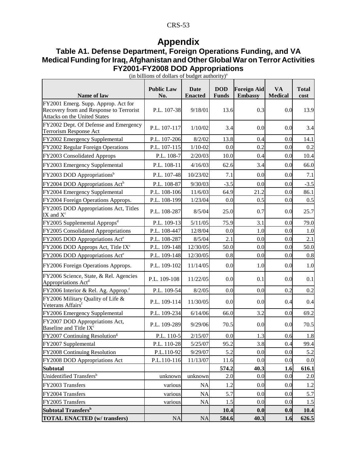# **Appendix**

# **Table A1. Defense Department, Foreign Operations Funding, and VA Medical Funding for Iraq, Afghanistan and Other Global War on Terror Activities FY2001-FY2008 DOD Appropriations**

| Name of law                                                                                                           | <b>Public Law</b><br>No. | Date<br><b>Enacted</b> | <b>DOD</b><br><b>Funds</b> | <b>Foreign Aid</b><br><b>Embassy</b> | <b>VA</b><br><b>Medical</b> | <b>Total</b><br>cost |
|-----------------------------------------------------------------------------------------------------------------------|--------------------------|------------------------|----------------------------|--------------------------------------|-----------------------------|----------------------|
| FY2001 Emerg. Supp. Approp. Act for<br>Recovery from and Response to Terrorist<br><b>Attacks on the United States</b> | P.L. 107-38              | 9/18/01                | 13.6                       | 0.3                                  | 0.0                         | 13.9                 |
| FY2002 Dept. Of Defense and Emergency<br><b>Terrorism Response Act</b>                                                | P.L. 107-117             | 1/10/02                | 3.4                        | 0.0                                  | 0.0                         | 3.4                  |
| FY2002 Emergency Supplemental                                                                                         | P.L. 107-206             | 8/2/02                 | 13.8                       | 0.4                                  | 0.0                         | 14.1                 |
| FY2002 Regular Foreign Operations                                                                                     | P.L. 107-115             | $1/10-02$              | 0.0                        | 0.2                                  | 0.0                         | 0.2                  |
| FY2003 Consolidated Approps                                                                                           | P.L. 108-7               | 2/20/03                | 10.0                       | 0.4                                  | 0.0                         | 10.4                 |
| FY2003 Emergency Supplemental                                                                                         | P.L. 108-11              | 4/16/03                | 62.6                       | 3.4                                  | 0.0                         | 66.0                 |
| FY2003 DOD Appropriations <sup>b</sup>                                                                                | P.L. 107-48              | 10/23/02               | 7.1                        | 0.0                                  | 0.0                         | 7.1                  |
| FY2004 DOD Appropriations Act <sup>b</sup>                                                                            | P.L. 108-87              | 9/30/03                | $-3.5$                     | 0.0                                  | 0.0                         | $-3.5$               |
| FY2004 Emergency Supplemental                                                                                         | P.L. 108-106             | 11/6/03                | 64.9                       | 21.2                                 | 0.0                         | 86.1                 |
| FY2004 Foreign Operations Approps.                                                                                    | P.L. 108-199             | 1/23/04                | 0.0                        | 0.5                                  | 0.0                         | 0.5                  |
| FY2005 DOD Appropriations Act, Titles<br>IX and $X^c$                                                                 | P.L. 108-287             | 8/5/04                 | 25.0                       | 0.7                                  | 0.0                         | 25.7                 |
| FY2005 Supplemental Approps <sup>d</sup>                                                                              | P.L. 109-13              | 5/11/05                | 75.9                       | 3.1                                  | 0.0                         | 79.0                 |
| FY2005 Consolidated Appropriations                                                                                    | P.L. 108-447             | 12/8/04                | 0.0                        | 1.0                                  | 0.0                         | 1.0                  |
| FY2005 DOD Appropriations Act <sup>e</sup>                                                                            | P.L. 108-287             | 8/5/04                 | 2.1                        | 0.0                                  | 0.0                         | 2.1                  |
| FY2006 DOD Approps Act, Title IX <sup>c</sup>                                                                         | P.L. 109-148             | 12/30/05               | 50.0                       | 0.0                                  | 0.0                         | 50.0                 |
| FY2006 DOD Appropriations Act <sup>e</sup>                                                                            | P.L. 109-148             | 12/30/05               | 0.8                        | 0.0                                  | 0.0                         | 0.8                  |
| FY2006 Foreign Operations Approps.                                                                                    | P.L. 109-102             | 11/14/05               | 0.0                        | 1.0                                  | 0.0                         | 1.0                  |
| FY2006 Science, State, & Rel. Agencies<br>Appropriations Act <sup>d</sup>                                             | P.L. 109-108             | 11/22/05               | 0.0                        | 0.1                                  | 0.0                         | 0.1                  |
| FY2006 Interior & Rel. Ag. Approp. <sup>f</sup>                                                                       | P.L. 109-54              | 8/2/05                 | 0.0                        | 0.0                                  | 0.2                         | 0.2                  |
| FY2006 Military Quality of Life &<br>Veterans Affairs <sup>f</sup>                                                    | P.L. 109-114             | 11/30/05               | 0.0                        | 0.0                                  | 0.4                         | 0.4                  |
| FY2006 Emergency Supplemental                                                                                         | P.L. 109-234             | 6/14/06                | 66.0                       | 3.2                                  | 0.0                         | 69.2                 |
| FY2007 DOD Appropriations Act,<br>Baseline and Title IX <sup>c</sup>                                                  | P.L. 109-289             | 9/29/06                | 70.5                       | 0.0                                  | 0.0                         | 70.5                 |
| FY2007 Continuing Resolution <sup>g</sup>                                                                             | P.L. 110-5               | 2/15/07                | 0.0                        | 1.3                                  | 0.6                         | 1.8                  |
| FY2007 Supplemental                                                                                                   | P.L. 110-28              | 5/25/07                | 95.2                       | 3.8                                  | 0.4                         | 99.4                 |
| FY2008 Continuing Resolution                                                                                          | P.L.110-92               | 9/29/07                | 5.2                        | 0.0                                  | 0.0                         | 5.2                  |
| FY2008 DOD Appropriations Act                                                                                         | P.L.110-116              | 11/13/07               | 11.6                       | 0.0                                  | 0.0                         | 0.0                  |
| <b>Subtotal</b>                                                                                                       |                          |                        | 574.2                      | 40.3                                 | 1.6                         | 616.1                |
| Unidentified Transfersh                                                                                               | unknown                  | unknown                | 2.0                        | 0.0                                  | 0.0                         | 2.0                  |
| FY2003 Transfers                                                                                                      | various                  | <b>NA</b>              | 1.2                        | 0.0                                  | 0.0                         | 1.2                  |
| FY2004 Transfers                                                                                                      | various                  | <b>NA</b>              | 5.7                        | 0.0                                  | 0.0                         | 5.7                  |
| FY2005 Transfers                                                                                                      | various                  | <b>NA</b>              | 1.5                        | 0.0                                  | 0.0                         | 1.5                  |
| <b>Subtotal Transfersh</b>                                                                                            |                          |                        | 10.4                       | 0.0                                  | 0.0                         | 10.4                 |
| <b>TOTAL ENACTED (w/ transfers)</b>                                                                                   | <b>NA</b>                | <b>NA</b>              | 584.6                      | 40.3                                 | 1.6                         | 626.5                |

(in billions of dollars of budget authority) $a$